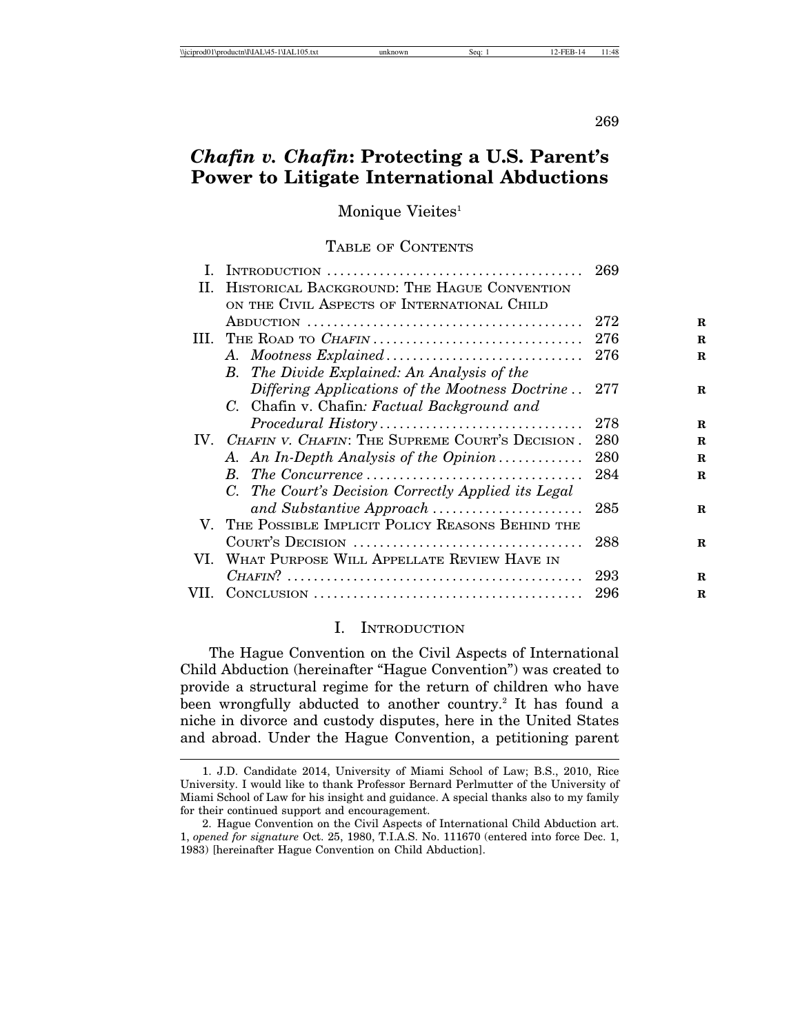269

# *Chafin v. Chafin***: Protecting a U.S. Parent's Power to Litigate International Abductions**

Monique Vieites<sup>1</sup>

#### TABLE OF CONTENTS

|      |                                                     | 269 |             |
|------|-----------------------------------------------------|-----|-------------|
| Н.   | HISTORICAL BACKGROUND: THE HAGUE CONVENTION         |     |             |
|      | ON THE CIVIL ASPECTS OF INTERNATIONAL CHILD         |     |             |
|      |                                                     | 272 | $\mathbf R$ |
| Ш.   | THE ROAD TO CHAFIN                                  | 276 | R           |
|      |                                                     | 276 | $\mathbf R$ |
|      | <b>B.</b> The Divide Explained: An Analysis of the  |     |             |
|      | Differing Applications of the Mootness Doctrine     | 277 | $\mathbf R$ |
|      | C. Chafin v. Chafin: Factual Background and         |     |             |
|      | Procedural History                                  | 278 | R           |
|      | IV. CHAFIN V. CHAFIN: THE SUPREME COURT'S DECISION. | 280 | R           |
|      | A. An In-Depth Analysis of the Opinion              | 280 | $\mathbf R$ |
|      | B. The Concurrence                                  | 284 | R           |
|      | C. The Court's Decision Correctly Applied its Legal |     |             |
|      | and Substantive Approach                            | 285 | R           |
|      | V. THE POSSIBLE IMPLICIT POLICY REASONS BEHIND THE  |     |             |
|      |                                                     | 288 | R           |
|      | VI. WHAT PURPOSE WILL APPELLATE REVIEW HAVE IN      |     |             |
|      |                                                     | 293 | R           |
| VII. |                                                     | 296 | R           |
|      |                                                     |     |             |

#### I. INTRODUCTION

The Hague Convention on the Civil Aspects of International Child Abduction (hereinafter "Hague Convention") was created to provide a structural regime for the return of children who have been wrongfully abducted to another country.<sup>2</sup> It has found a niche in divorce and custody disputes, here in the United States and abroad. Under the Hague Convention, a petitioning parent

<sup>1.</sup> J.D. Candidate 2014, University of Miami School of Law; B.S., 2010, Rice University. I would like to thank Professor Bernard Perlmutter of the University of Miami School of Law for his insight and guidance. A special thanks also to my family for their continued support and encouragement.

<sup>2.</sup> Hague Convention on the Civil Aspects of International Child Abduction art. 1, *opened for signature* Oct. 25, 1980, T.I.A.S. No. 111670 (entered into force Dec. 1, 1983) [hereinafter Hague Convention on Child Abduction].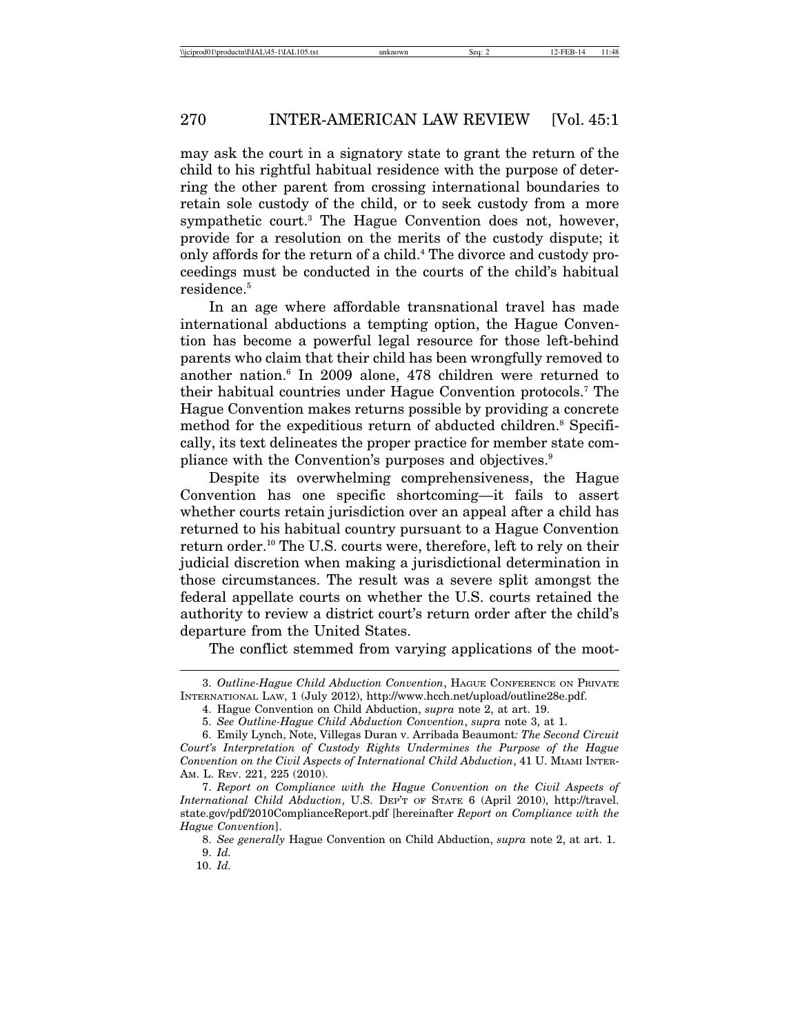may ask the court in a signatory state to grant the return of the child to his rightful habitual residence with the purpose of deterring the other parent from crossing international boundaries to retain sole custody of the child, or to seek custody from a more sympathetic court.3 The Hague Convention does not, however, provide for a resolution on the merits of the custody dispute; it only affords for the return of a child.<sup>4</sup> The divorce and custody proceedings must be conducted in the courts of the child's habitual residence.<sup>5</sup>

In an age where affordable transnational travel has made international abductions a tempting option, the Hague Convention has become a powerful legal resource for those left-behind parents who claim that their child has been wrongfully removed to another nation.<sup>6</sup> In 2009 alone, 478 children were returned to their habitual countries under Hague Convention protocols.7 The Hague Convention makes returns possible by providing a concrete method for the expeditious return of abducted children.<sup>8</sup> Specifically, its text delineates the proper practice for member state compliance with the Convention's purposes and objectives.9

Despite its overwhelming comprehensiveness, the Hague Convention has one specific shortcoming—it fails to assert whether courts retain jurisdiction over an appeal after a child has returned to his habitual country pursuant to a Hague Convention return order.10 The U.S. courts were, therefore, left to rely on their judicial discretion when making a jurisdictional determination in those circumstances. The result was a severe split amongst the federal appellate courts on whether the U.S. courts retained the authority to review a district court's return order after the child's departure from the United States.

The conflict stemmed from varying applications of the moot-

<sup>3.</sup> *Outline-Hague Child Abduction Convention*, HAGUE CONFERENCE ON PRIVATE INTERNATIONAL LAW, 1 (July 2012), http://www.hcch.net/upload/outline28e.pdf.

<sup>4.</sup> Hague Convention on Child Abduction, *supra* note 2, at art. 19.

<sup>5.</sup> *See Outline-Hague Child Abduction Convention*, *supra* note 3, at 1.

<sup>6.</sup> Emily Lynch, Note, Villegas Duran v. Arribada Beaumont*: The Second Circuit Court's Interpretation of Custody Rights Undermines the Purpose of the Hague Convention on the Civil Aspects of International Child Abduction*, 41 U. MIAMI INTER-AM. L. REV. 221, 225 (2010).

<sup>7.</sup> *Report on Compliance with the Hague Convention on the Civil Aspects of International Child Abduction*, U.S. DEP'T OF STATE 6 (April 2010), http://travel. state.gov/pdf/2010ComplianceReport.pdf [hereinafter *Report on Compliance with the Hague Convention*].

<sup>8.</sup> *See generally* Hague Convention on Child Abduction, *supra* note 2, at art. 1. 9. *Id.*

<sup>10.</sup> *Id.*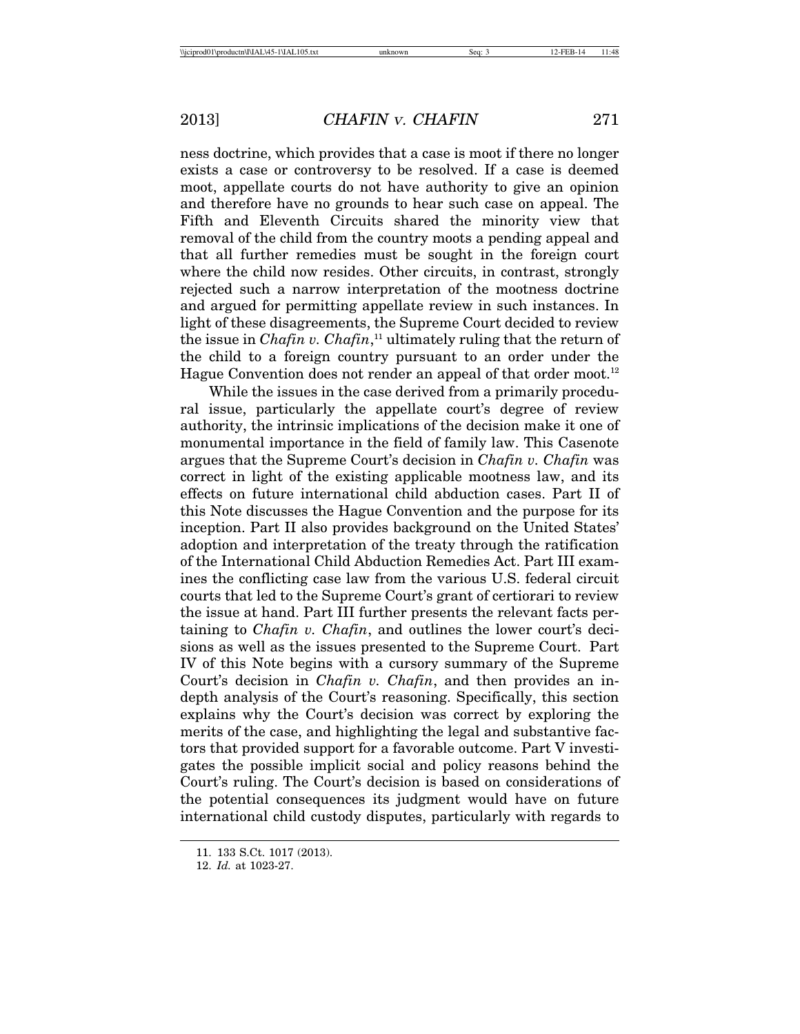ness doctrine, which provides that a case is moot if there no longer exists a case or controversy to be resolved. If a case is deemed moot, appellate courts do not have authority to give an opinion and therefore have no grounds to hear such case on appeal. The Fifth and Eleventh Circuits shared the minority view that removal of the child from the country moots a pending appeal and that all further remedies must be sought in the foreign court where the child now resides. Other circuits, in contrast, strongly rejected such a narrow interpretation of the mootness doctrine and argued for permitting appellate review in such instances. In light of these disagreements, the Supreme Court decided to review the issue in *Chafin v. Chafin*, 11 ultimately ruling that the return of the child to a foreign country pursuant to an order under the Hague Convention does not render an appeal of that order moot.<sup>12</sup>

While the issues in the case derived from a primarily procedural issue, particularly the appellate court's degree of review authority, the intrinsic implications of the decision make it one of monumental importance in the field of family law. This Casenote argues that the Supreme Court's decision in *Chafin v. Chafin* was correct in light of the existing applicable mootness law, and its effects on future international child abduction cases. Part II of this Note discusses the Hague Convention and the purpose for its inception. Part II also provides background on the United States' adoption and interpretation of the treaty through the ratification of the International Child Abduction Remedies Act. Part III examines the conflicting case law from the various U.S. federal circuit courts that led to the Supreme Court's grant of certiorari to review the issue at hand. Part III further presents the relevant facts pertaining to *Chafin v. Chafin*, and outlines the lower court's decisions as well as the issues presented to the Supreme Court. Part IV of this Note begins with a cursory summary of the Supreme Court's decision in *Chafin v. Chafin*, and then provides an indepth analysis of the Court's reasoning. Specifically, this section explains why the Court's decision was correct by exploring the merits of the case, and highlighting the legal and substantive factors that provided support for a favorable outcome. Part V investigates the possible implicit social and policy reasons behind the Court's ruling. The Court's decision is based on considerations of the potential consequences its judgment would have on future international child custody disputes, particularly with regards to

<sup>11. 133</sup> S.Ct. 1017 (2013).

<sup>12.</sup> *Id.* at 1023-27.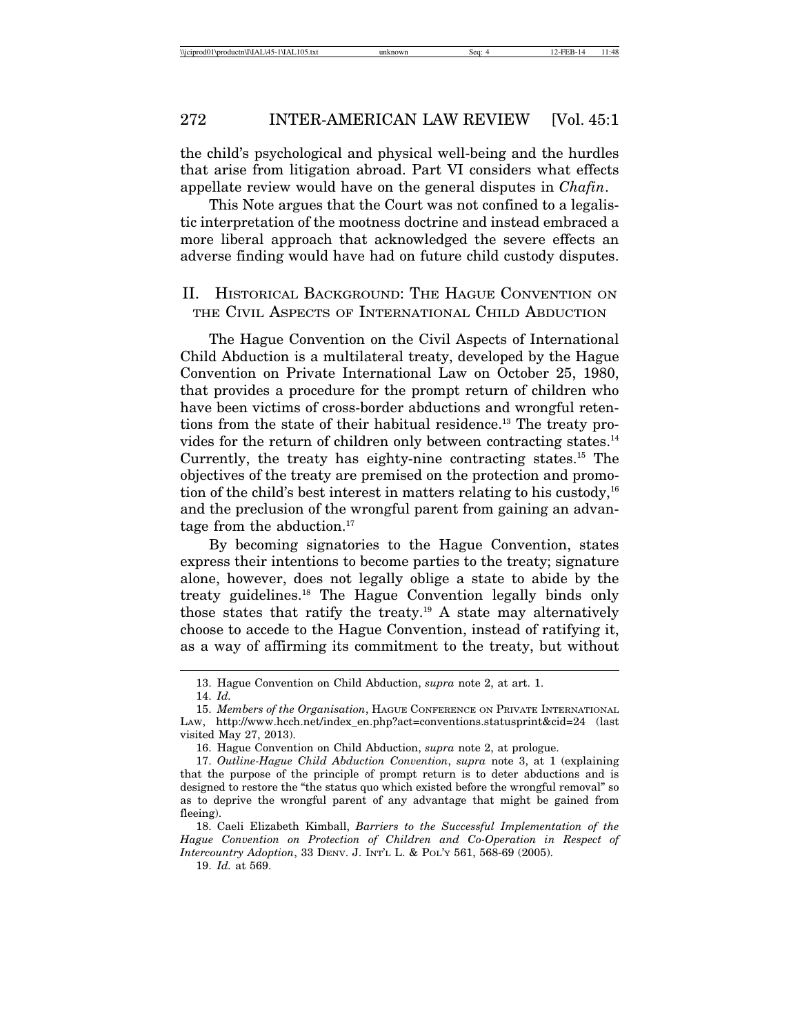the child's psychological and physical well-being and the hurdles that arise from litigation abroad. Part VI considers what effects appellate review would have on the general disputes in *Chafin*.

This Note argues that the Court was not confined to a legalistic interpretation of the mootness doctrine and instead embraced a more liberal approach that acknowledged the severe effects an adverse finding would have had on future child custody disputes.

## II. HISTORICAL BACKGROUND: THE HAGUE CONVENTION ON THE CIVIL ASPECTS OF INTERNATIONAL CHILD ABDUCTION

The Hague Convention on the Civil Aspects of International Child Abduction is a multilateral treaty, developed by the Hague Convention on Private International Law on October 25, 1980, that provides a procedure for the prompt return of children who have been victims of cross-border abductions and wrongful retentions from the state of their habitual residence.<sup>13</sup> The treaty provides for the return of children only between contracting states.<sup>14</sup> Currently, the treaty has eighty-nine contracting states.15 The objectives of the treaty are premised on the protection and promotion of the child's best interest in matters relating to his custody,  $16$ and the preclusion of the wrongful parent from gaining an advantage from the abduction. $17$ 

By becoming signatories to the Hague Convention, states express their intentions to become parties to the treaty; signature alone, however, does not legally oblige a state to abide by the treaty guidelines.18 The Hague Convention legally binds only those states that ratify the treaty.<sup>19</sup> A state may alternatively choose to accede to the Hague Convention, instead of ratifying it, as a way of affirming its commitment to the treaty, but without

19. *Id.* at 569.

<sup>13.</sup> Hague Convention on Child Abduction, *supra* note 2, at art. 1.

<sup>14.</sup> *Id.*

<sup>15.</sup> *Members of the Organisation*, HAGUE CONFERENCE ON PRIVATE INTERNATIONAL LAW, http://www.hcch.net/index\_en.php?act=conventions.statusprint&cid=24 (last visited May 27, 2013).

<sup>16.</sup> Hague Convention on Child Abduction, *supra* note 2, at prologue.

<sup>17.</sup> *Outline-Hague Child Abduction Convention*, *supra* note 3, at 1 (explaining that the purpose of the principle of prompt return is to deter abductions and is designed to restore the "the status quo which existed before the wrongful removal" so as to deprive the wrongful parent of any advantage that might be gained from fleeing).

<sup>18.</sup> Caeli Elizabeth Kimball, *Barriers to the Successful Implementation of the Hague Convention on Protection of Children and Co-Operation in Respect of Intercountry Adoption*, 33 DENV. J. INT'L L. & POL'Y 561, 568-69 (2005).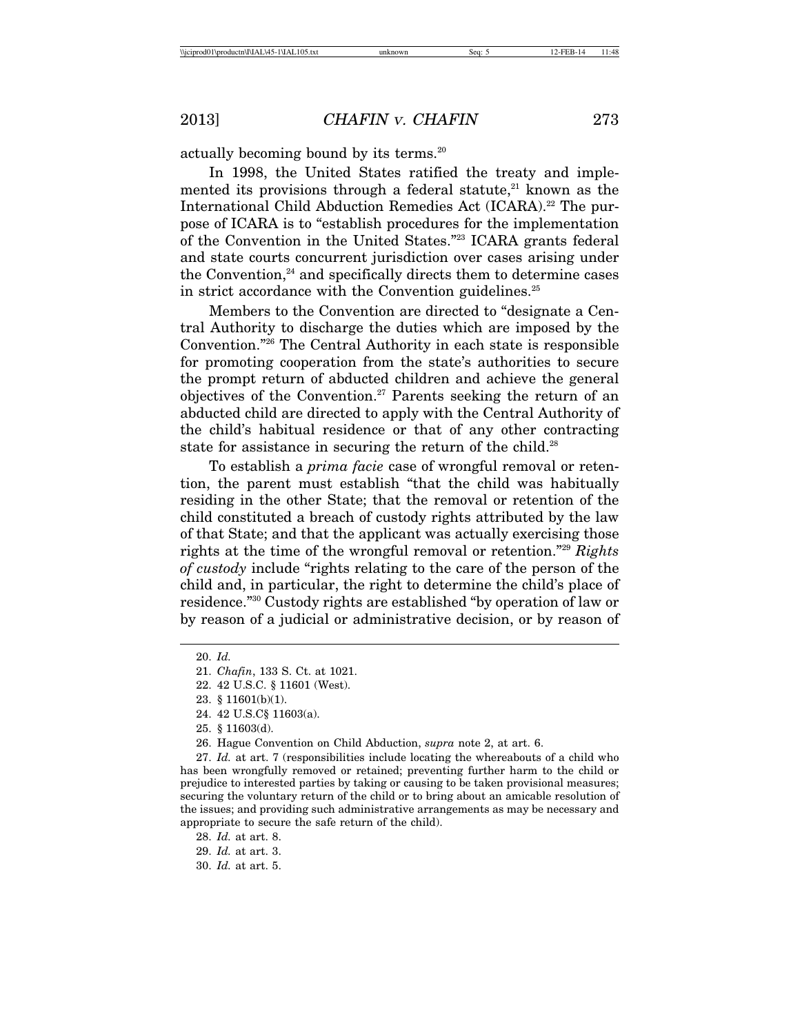actually becoming bound by its terms.<sup>20</sup>

In 1998, the United States ratified the treaty and implemented its provisions through a federal statute, $21$  known as the International Child Abduction Remedies Act (ICARA).<sup>22</sup> The purpose of ICARA is to "establish procedures for the implementation of the Convention in the United States."23 ICARA grants federal and state courts concurrent jurisdiction over cases arising under the Convention, $24$  and specifically directs them to determine cases in strict accordance with the Convention guidelines.<sup>25</sup>

Members to the Convention are directed to "designate a Central Authority to discharge the duties which are imposed by the Convention."26 The Central Authority in each state is responsible for promoting cooperation from the state's authorities to secure the prompt return of abducted children and achieve the general objectives of the Convention.27 Parents seeking the return of an abducted child are directed to apply with the Central Authority of the child's habitual residence or that of any other contracting state for assistance in securing the return of the child.<sup>28</sup>

To establish a *prima facie* case of wrongful removal or retention, the parent must establish "that the child was habitually residing in the other State; that the removal or retention of the child constituted a breach of custody rights attributed by the law of that State; and that the applicant was actually exercising those rights at the time of the wrongful removal or retention."29 *Rights of custody* include "rights relating to the care of the person of the child and, in particular, the right to determine the child's place of residence."30 Custody rights are established "by operation of law or by reason of a judicial or administrative decision, or by reason of

<sup>20.</sup> *Id.*

<sup>21.</sup> *Chafin*, 133 S. Ct. at 1021.

<sup>22. 42</sup> U.S.C. § 11601 (West).

<sup>23. § 11601(</sup>b)(1).

<sup>24. 42</sup> U.S.C§ 11603(a).

<sup>25. § 11603(</sup>d).

<sup>26.</sup> Hague Convention on Child Abduction, *supra* note 2, at art. 6.

<sup>27.</sup> *Id.* at art. 7 (responsibilities include locating the whereabouts of a child who has been wrongfully removed or retained; preventing further harm to the child or prejudice to interested parties by taking or causing to be taken provisional measures; securing the voluntary return of the child or to bring about an amicable resolution of the issues; and providing such administrative arrangements as may be necessary and appropriate to secure the safe return of the child).

<sup>28.</sup> *Id.* at art. 8.

<sup>29.</sup> *Id.* at art. 3.

<sup>30.</sup> *Id.* at art. 5.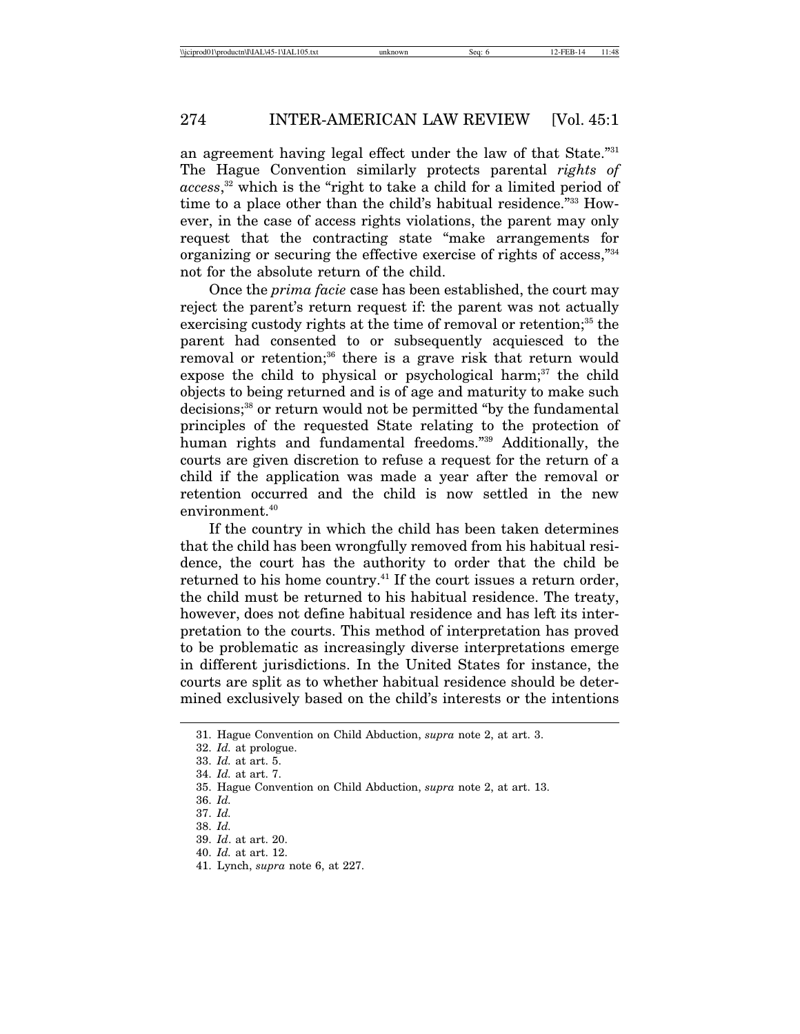an agreement having legal effect under the law of that State."31 The Hague Convention similarly protects parental *rights of access*, 32 which is the "right to take a child for a limited period of time to a place other than the child's habitual residence."33 However, in the case of access rights violations, the parent may only request that the contracting state "make arrangements for organizing or securing the effective exercise of rights of access,"34 not for the absolute return of the child.

Once the *prima facie* case has been established, the court may reject the parent's return request if: the parent was not actually exercising custody rights at the time of removal or retention; $35$  the parent had consented to or subsequently acquiesced to the removal or retention;<sup>36</sup> there is a grave risk that return would expose the child to physical or psychological harm; $37$  the child objects to being returned and is of age and maturity to make such decisions;38 or return would not be permitted "by the fundamental principles of the requested State relating to the protection of human rights and fundamental freedoms."39 Additionally, the courts are given discretion to refuse a request for the return of a child if the application was made a year after the removal or retention occurred and the child is now settled in the new environment.<sup>40</sup>

If the country in which the child has been taken determines that the child has been wrongfully removed from his habitual residence, the court has the authority to order that the child be returned to his home country.<sup>41</sup> If the court issues a return order, the child must be returned to his habitual residence. The treaty, however, does not define habitual residence and has left its interpretation to the courts. This method of interpretation has proved to be problematic as increasingly diverse interpretations emerge in different jurisdictions. In the United States for instance, the courts are split as to whether habitual residence should be determined exclusively based on the child's interests or the intentions

<sup>31.</sup> Hague Convention on Child Abduction, *supra* note 2, at art. 3.

<sup>32.</sup> *Id.* at prologue.

<sup>33.</sup> *Id.* at art. 5.

<sup>34.</sup> *Id.* at art. 7.

<sup>35.</sup> Hague Convention on Child Abduction, *supra* note 2, at art. 13.

<sup>36.</sup> *Id.*

<sup>37.</sup> *Id.*

<sup>38.</sup> *Id.*

<sup>39.</sup> *Id*. at art. 20.

<sup>40.</sup> *Id.* at art. 12.

<sup>41.</sup> Lynch, *supra* note 6, at 227.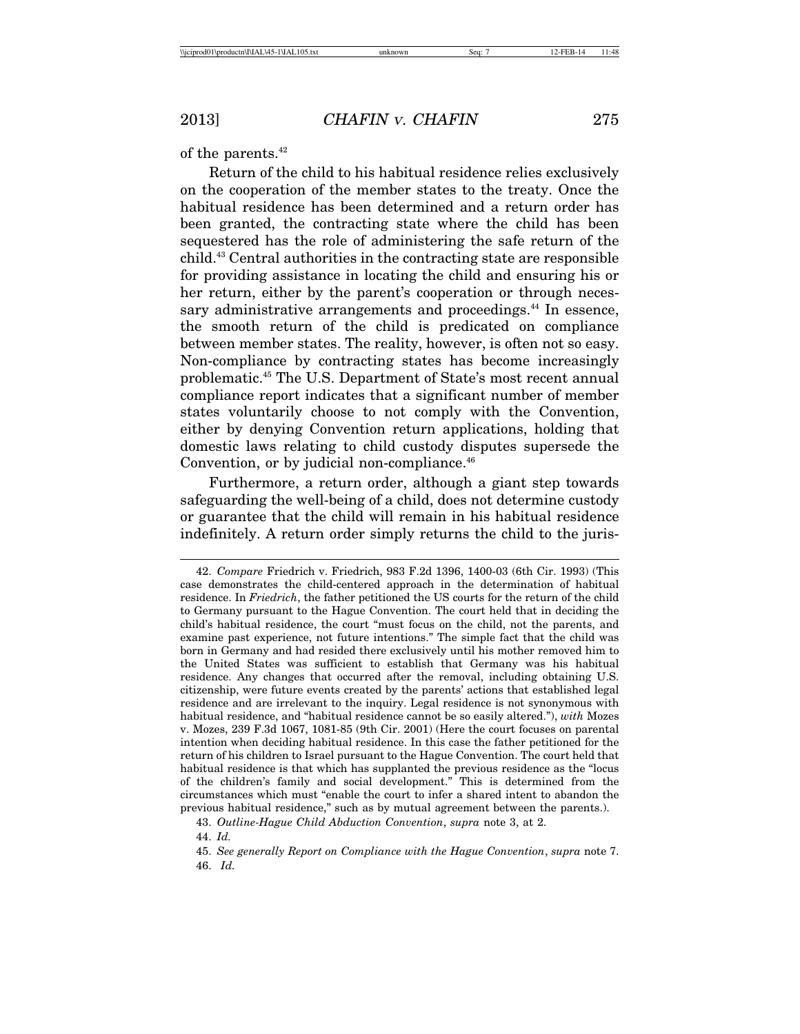of the parents.<sup>42</sup>

Return of the child to his habitual residence relies exclusively on the cooperation of the member states to the treaty. Once the habitual residence has been determined and a return order has been granted, the contracting state where the child has been sequestered has the role of administering the safe return of the child.43 Central authorities in the contracting state are responsible for providing assistance in locating the child and ensuring his or her return, either by the parent's cooperation or through necessary administrative arrangements and proceedings.<sup>44</sup> In essence, the smooth return of the child is predicated on compliance between member states. The reality, however, is often not so easy. Non-compliance by contracting states has become increasingly problematic.45 The U.S. Department of State's most recent annual compliance report indicates that a significant number of member states voluntarily choose to not comply with the Convention, either by denying Convention return applications, holding that domestic laws relating to child custody disputes supersede the Convention, or by judicial non-compliance.<sup>46</sup>

Furthermore, a return order, although a giant step towards safeguarding the well-being of a child, does not determine custody or guarantee that the child will remain in his habitual residence indefinitely. A return order simply returns the child to the juris-

<sup>42.</sup> *Compare* Friedrich v. Friedrich, 983 F.2d 1396, 1400-03 (6th Cir. 1993) (This case demonstrates the child-centered approach in the determination of habitual residence. In *Friedrich*, the father petitioned the US courts for the return of the child to Germany pursuant to the Hague Convention. The court held that in deciding the child's habitual residence, the court "must focus on the child, not the parents, and examine past experience, not future intentions." The simple fact that the child was born in Germany and had resided there exclusively until his mother removed him to the United States was sufficient to establish that Germany was his habitual residence. Any changes that occurred after the removal, including obtaining U.S. citizenship, were future events created by the parents' actions that established legal residence and are irrelevant to the inquiry. Legal residence is not synonymous with habitual residence, and "habitual residence cannot be so easily altered."), *with* Mozes v. Mozes, 239 F.3d 1067, 1081-85 (9th Cir. 2001) (Here the court focuses on parental intention when deciding habitual residence. In this case the father petitioned for the return of his children to Israel pursuant to the Hague Convention. The court held that habitual residence is that which has supplanted the previous residence as the "locus of the children's family and social development." This is determined from the circumstances which must "enable the court to infer a shared intent to abandon the previous habitual residence," such as by mutual agreement between the parents.).

<sup>43.</sup> *Outline-Hague Child Abduction Convention*, *supra* note 3, at 2.

<sup>44.</sup> *Id.*

<sup>45.</sup> *See generally Report on Compliance with the Hague Convention*, *supra* note 7. 46. *Id.*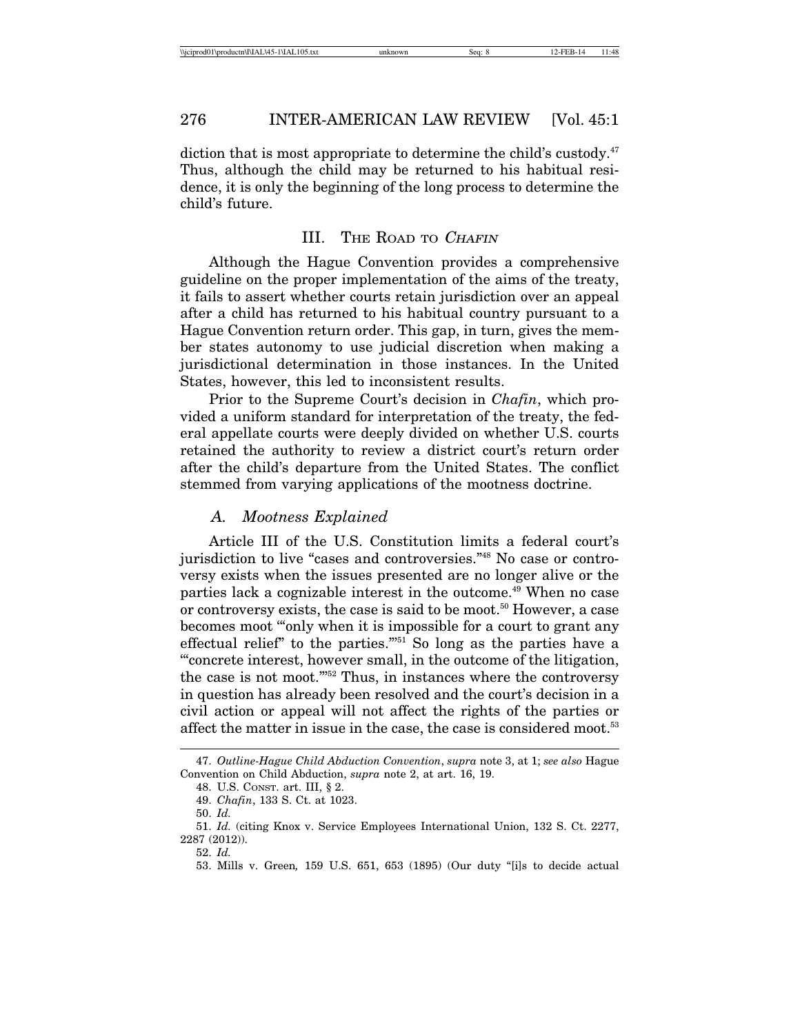diction that is most appropriate to determine the child's custody. $47$ Thus, although the child may be returned to his habitual residence, it is only the beginning of the long process to determine the child's future.

### III. THE ROAD TO CHAFIN

Although the Hague Convention provides a comprehensive guideline on the proper implementation of the aims of the treaty, it fails to assert whether courts retain jurisdiction over an appeal after a child has returned to his habitual country pursuant to a Hague Convention return order. This gap, in turn, gives the member states autonomy to use judicial discretion when making a jurisdictional determination in those instances. In the United States, however, this led to inconsistent results.

Prior to the Supreme Court's decision in *Chafin*, which provided a uniform standard for interpretation of the treaty, the federal appellate courts were deeply divided on whether U.S. courts retained the authority to review a district court's return order after the child's departure from the United States. The conflict stemmed from varying applications of the mootness doctrine.

#### *A. Mootness Explained*

Article III of the U.S. Constitution limits a federal court's jurisdiction to live "cases and controversies."48 No case or controversy exists when the issues presented are no longer alive or the parties lack a cognizable interest in the outcome.<sup>49</sup> When no case or controversy exists, the case is said to be moot.<sup>50</sup> However, a case becomes moot '"only when it is impossible for a court to grant any effectual relief" to the parties."<sup>51</sup> So long as the parties have a '"concrete interest, however small, in the outcome of the litigation, the case is not moot."'52 Thus, in instances where the controversy in question has already been resolved and the court's decision in a civil action or appeal will not affect the rights of the parties or affect the matter in issue in the case, the case is considered moot.<sup>53</sup>

<sup>47.</sup> *Outline-Hague Child Abduction Convention*, *supra* note 3, at 1; *see also* Hague Convention on Child Abduction, *supra* note 2, at art. 16, 19.

<sup>48.</sup> U.S. CONST. art. III, § 2.

<sup>49.</sup> *Chafin*, 133 S. Ct. at 1023.

<sup>50.</sup> *Id.*

<sup>51.</sup> *Id.* (citing Knox v. Service Employees International Union, 132 S. Ct. 2277, 2287 (2012)).

<sup>52.</sup> *Id.*

<sup>53.</sup> Mills v. Green*,* 159 U.S. 651, 653 (1895) (Our duty "[i]s to decide actual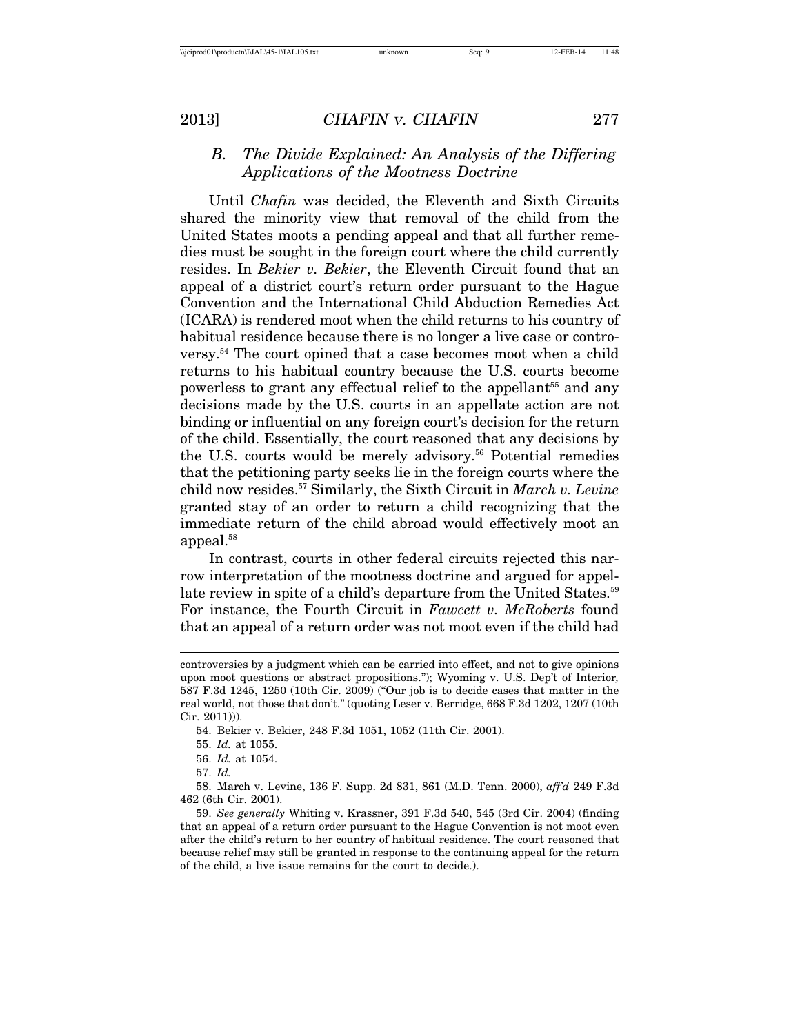## *B. The Divide Explained: An Analysis of the Differing Applications of the Mootness Doctrine*

Until *Chafin* was decided, the Eleventh and Sixth Circuits shared the minority view that removal of the child from the United States moots a pending appeal and that all further remedies must be sought in the foreign court where the child currently resides. In *Bekier v. Bekier*, the Eleventh Circuit found that an appeal of a district court's return order pursuant to the Hague Convention and the International Child Abduction Remedies Act (ICARA) is rendered moot when the child returns to his country of habitual residence because there is no longer a live case or controversy.54 The court opined that a case becomes moot when a child returns to his habitual country because the U.S. courts become powerless to grant any effectual relief to the appellant<sup>55</sup> and any decisions made by the U.S. courts in an appellate action are not binding or influential on any foreign court's decision for the return of the child. Essentially, the court reasoned that any decisions by the U.S. courts would be merely advisory.<sup>56</sup> Potential remedies that the petitioning party seeks lie in the foreign courts where the child now resides.57 Similarly, the Sixth Circuit in *March v. Levine* granted stay of an order to return a child recognizing that the immediate return of the child abroad would effectively moot an appeal.<sup>58</sup>

In contrast, courts in other federal circuits rejected this narrow interpretation of the mootness doctrine and argued for appellate review in spite of a child's departure from the United States.<sup>59</sup> For instance, the Fourth Circuit in *Fawcett v. McRoberts* found that an appeal of a return order was not moot even if the child had

54. Bekier v. Bekier, 248 F.3d 1051, 1052 (11th Cir. 2001).

57. *Id.*

controversies by a judgment which can be carried into effect, and not to give opinions upon moot questions or abstract propositions."); Wyoming v. U.S. Dep't of Interior*,* 587 F.3d 1245, 1250 (10th Cir. 2009) ("Our job is to decide cases that matter in the real world, not those that don't." (quoting Leser v. Berridge, 668 F.3d 1202, 1207 (10th Cir. 2011))).

<sup>55.</sup> *Id.* at 1055.

<sup>56.</sup> *Id.* at 1054.

<sup>58.</sup> March v. Levine, 136 F. Supp. 2d 831, 861 (M.D. Tenn. 2000), *aff'd* 249 F.3d 462 (6th Cir. 2001).

<sup>59.</sup> *See generally* Whiting v. Krassner, 391 F.3d 540, 545 (3rd Cir. 2004) (finding that an appeal of a return order pursuant to the Hague Convention is not moot even after the child's return to her country of habitual residence. The court reasoned that because relief may still be granted in response to the continuing appeal for the return of the child, a live issue remains for the court to decide.).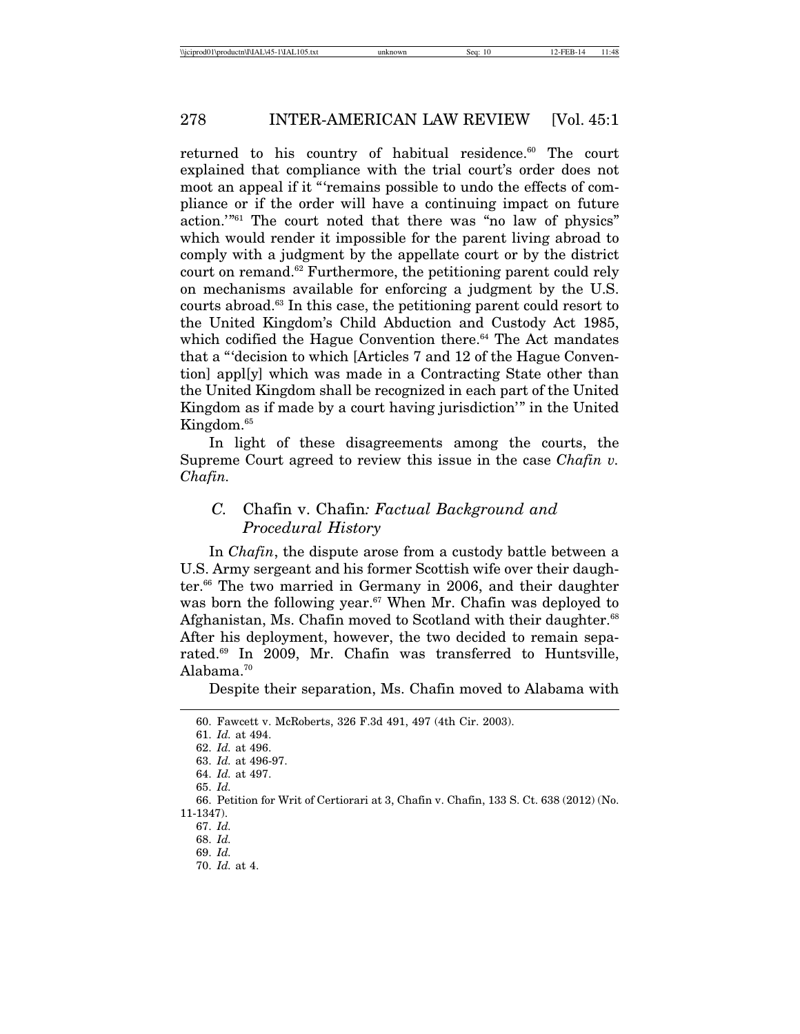returned to his country of habitual residence.<sup>60</sup> The court explained that compliance with the trial court's order does not moot an appeal if it "'remains possible to undo the effects of compliance or if the order will have a continuing impact on future action.'"61 The court noted that there was "no law of physics" which would render it impossible for the parent living abroad to comply with a judgment by the appellate court or by the district court on remand.62 Furthermore, the petitioning parent could rely on mechanisms available for enforcing a judgment by the U.S. courts abroad.63 In this case, the petitioning parent could resort to the United Kingdom's Child Abduction and Custody Act 1985, which codified the Hague Convention there. $64$  The Act mandates that a "'decision to which [Articles 7 and 12 of the Hague Convention] appl[y] which was made in a Contracting State other than the United Kingdom shall be recognized in each part of the United Kingdom as if made by a court having jurisdiction'" in the United Kingdom.<sup>65</sup>

In light of these disagreements among the courts, the Supreme Court agreed to review this issue in the case *Chafin v. Chafin.*

## *C.* Chafin v. Chafin*: Factual Background and Procedural History*

In *Chafin*, the dispute arose from a custody battle between a U.S. Army sergeant and his former Scottish wife over their daughter.<sup>66</sup> The two married in Germany in 2006, and their daughter was born the following year.<sup>67</sup> When Mr. Chafin was deployed to Afghanistan, Ms. Chafin moved to Scotland with their daughter.<sup>68</sup> After his deployment, however, the two decided to remain separated.69 In 2009, Mr. Chafin was transferred to Huntsville, Alabama.<sup>70</sup>

Despite their separation, Ms. Chafin moved to Alabama with

<sup>60.</sup> Fawcett v. McRoberts, 326 F.3d 491, 497 (4th Cir. 2003).

<sup>61.</sup> *Id.* at 494.

<sup>62.</sup> *Id.* at 496.

<sup>63.</sup> *Id.* at 496-97.

<sup>64.</sup> *Id.* at 497.

<sup>65.</sup> *Id.*

<sup>66.</sup> Petition for Writ of Certiorari at 3, Chafin v. Chafin, 133 S. Ct. 638 (2012) (No. 11-1347).

<sup>67.</sup> *Id.*

<sup>68.</sup> *Id.*

<sup>69.</sup> *Id.*

<sup>70.</sup> *Id.* at 4.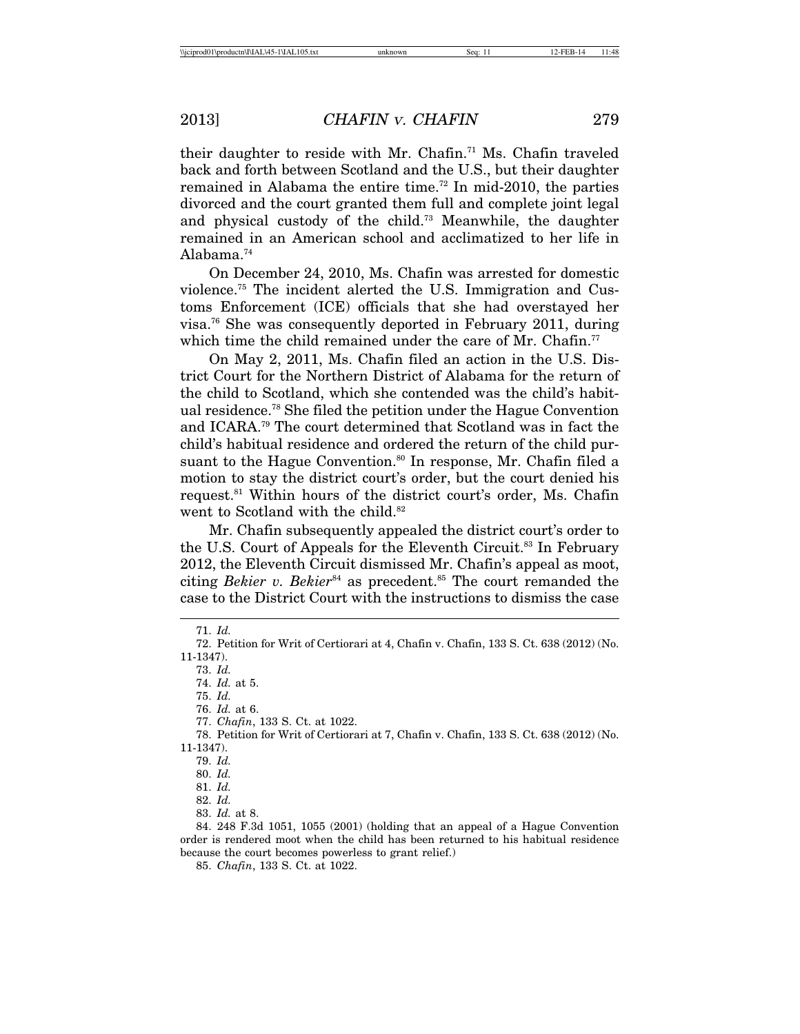their daughter to reside with Mr. Chafin.<sup>71</sup> Ms. Chafin traveled back and forth between Scotland and the U.S., but their daughter remained in Alabama the entire time.<sup>72</sup> In mid-2010, the parties divorced and the court granted them full and complete joint legal and physical custody of the child.73 Meanwhile, the daughter remained in an American school and acclimatized to her life in Alabama.74

On December 24, 2010, Ms. Chafin was arrested for domestic violence.75 The incident alerted the U.S. Immigration and Customs Enforcement (ICE) officials that she had overstayed her visa.76 She was consequently deported in February 2011, during which time the child remained under the care of Mr. Chafin.<sup>77</sup>

On May 2, 2011, Ms. Chafin filed an action in the U.S. District Court for the Northern District of Alabama for the return of the child to Scotland, which she contended was the child's habitual residence.78 She filed the petition under the Hague Convention and ICARA.79 The court determined that Scotland was in fact the child's habitual residence and ordered the return of the child pursuant to the Hague Convention.<sup>80</sup> In response, Mr. Chafin filed a motion to stay the district court's order, but the court denied his request.81 Within hours of the district court's order, Ms. Chafin went to Scotland with the child.<sup>82</sup>

Mr. Chafin subsequently appealed the district court's order to the U.S. Court of Appeals for the Eleventh Circuit.<sup>83</sup> In February 2012, the Eleventh Circuit dismissed Mr. Chafin's appeal as moot, citing *Bekier v. Bekier*<sup>84</sup> as precedent.<sup>85</sup> The court remanded the case to the District Court with the instructions to dismiss the case

73. *Id.*

75. *Id.*

76. *Id.* at 6.

77. *Chafin*, 133 S. Ct. at 1022.

78. Petition for Writ of Certiorari at 7, Chafin v. Chafin, 133 S. Ct. 638 (2012) (No. 11-1347).

84. 248 F.3d 1051, 1055 (2001) (holding that an appeal of a Hague Convention order is rendered moot when the child has been returned to his habitual residence because the court becomes powerless to grant relief.)

85. *Chafin*, 133 S. Ct. at 1022.

<sup>71.</sup> *Id.*

<sup>72.</sup> Petition for Writ of Certiorari at 4, Chafin v. Chafin, 133 S. Ct. 638 (2012) (No. 11-1347).

<sup>74.</sup> *Id.* at 5.

<sup>79.</sup> *Id.*

<sup>80.</sup> *Id.*

<sup>81.</sup> *Id.*

<sup>82.</sup> *Id.*

<sup>83.</sup> *Id.* at 8.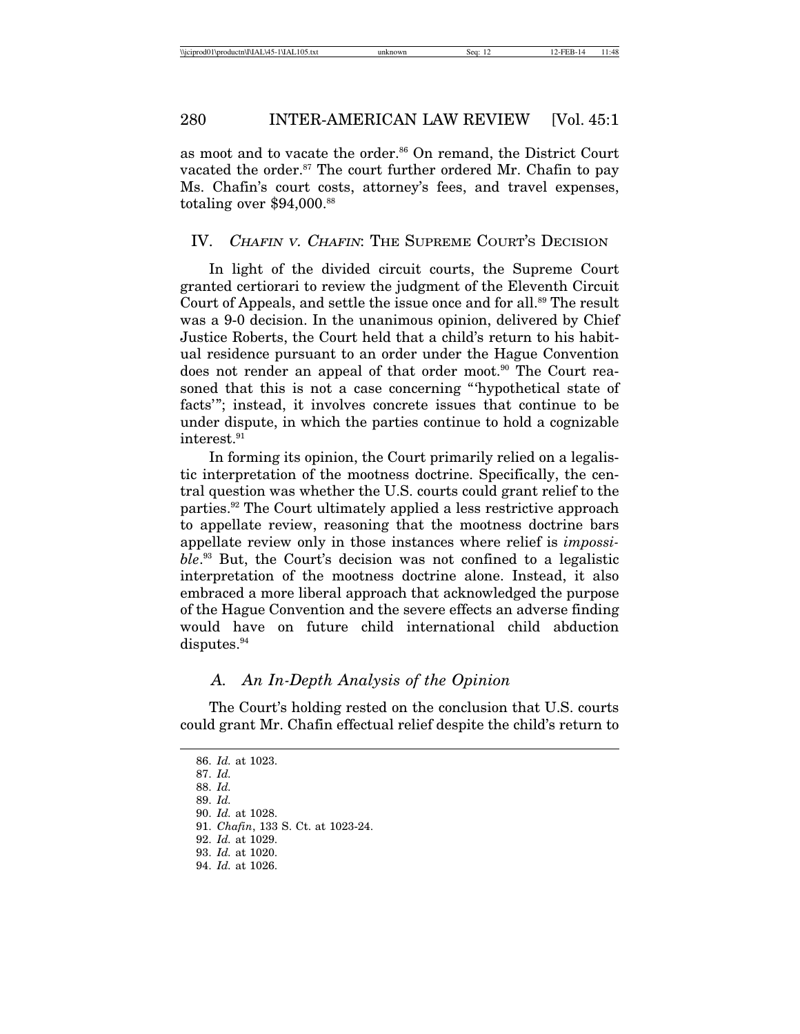as moot and to vacate the order.<sup>86</sup> On remand, the District Court vacated the order.<sup>87</sup> The court further ordered Mr. Chafin to pay Ms. Chafin's court costs, attorney's fees, and travel expenses, totaling over \$94,000.<sup>88</sup>

#### IV. CHAFIN V. CHAFIN: THE SUPREME COURT'S DECISION

In light of the divided circuit courts, the Supreme Court granted certiorari to review the judgment of the Eleventh Circuit Court of Appeals, and settle the issue once and for all.<sup>89</sup> The result was a 9-0 decision. In the unanimous opinion, delivered by Chief Justice Roberts, the Court held that a child's return to his habitual residence pursuant to an order under the Hague Convention does not render an appeal of that order moot.<sup>90</sup> The Court reasoned that this is not a case concerning "'hypothetical state of facts'"; instead, it involves concrete issues that continue to be under dispute, in which the parties continue to hold a cognizable interest.<sup>91</sup>

In forming its opinion, the Court primarily relied on a legalistic interpretation of the mootness doctrine. Specifically, the central question was whether the U.S. courts could grant relief to the parties.92 The Court ultimately applied a less restrictive approach to appellate review, reasoning that the mootness doctrine bars appellate review only in those instances where relief is *impossible*. 93 But, the Court's decision was not confined to a legalistic interpretation of the mootness doctrine alone. Instead, it also embraced a more liberal approach that acknowledged the purpose of the Hague Convention and the severe effects an adverse finding would have on future child international child abduction disputes.<sup>94</sup>

#### *A. An In-Depth Analysis of the Opinion*

The Court's holding rested on the conclusion that U.S. courts could grant Mr. Chafin effectual relief despite the child's return to

<sup>86.</sup> *Id.* at 1023.

<sup>87.</sup> *Id.*

<sup>88.</sup> *Id.*

<sup>89.</sup> *Id.*

<sup>90.</sup> *Id.* at 1028.

<sup>91.</sup> *Chafin*, 133 S. Ct. at 1023-24.

<sup>92.</sup> *Id.* at 1029.

<sup>93.</sup> *Id.* at 1020.

<sup>94.</sup> *Id.* at 1026.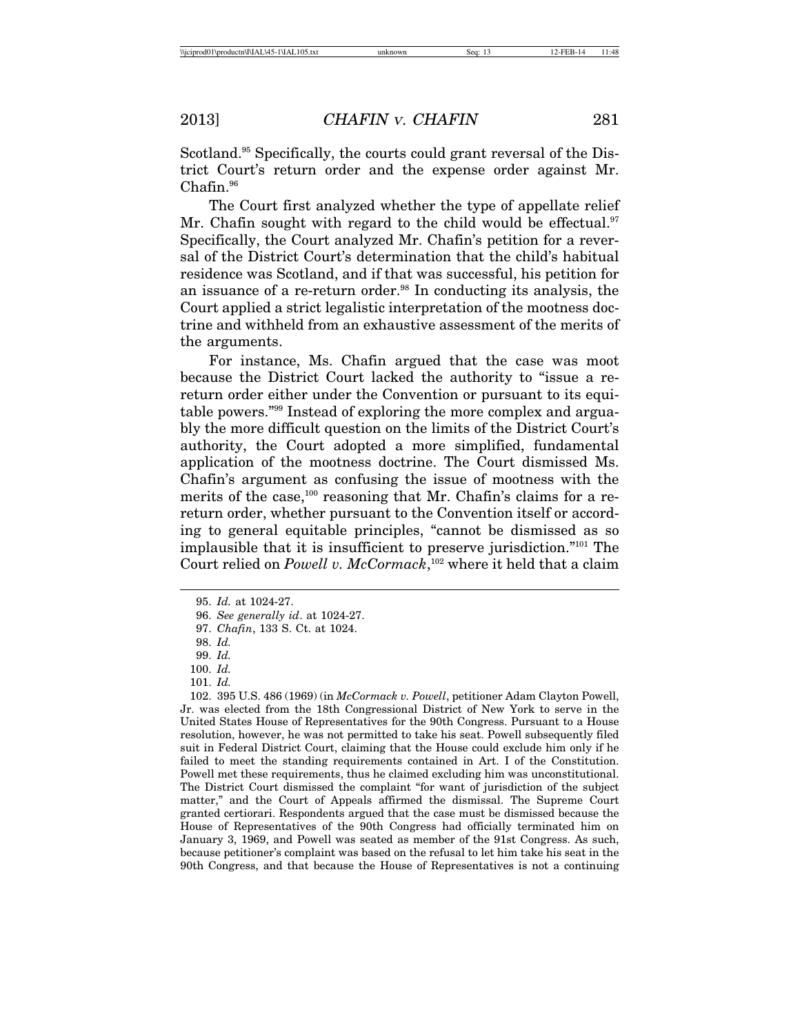Scotland.<sup>95</sup> Specifically, the courts could grant reversal of the District Court's return order and the expense order against Mr. Chafin.<sup>96</sup>

The Court first analyzed whether the type of appellate relief Mr. Chafin sought with regard to the child would be effectual.<sup>97</sup> Specifically, the Court analyzed Mr. Chafin's petition for a reversal of the District Court's determination that the child's habitual residence was Scotland, and if that was successful, his petition for an issuance of a re-return order.<sup>98</sup> In conducting its analysis, the Court applied a strict legalistic interpretation of the mootness doctrine and withheld from an exhaustive assessment of the merits of the arguments.

For instance, Ms. Chafin argued that the case was moot because the District Court lacked the authority to "issue a rereturn order either under the Convention or pursuant to its equitable powers."99 Instead of exploring the more complex and arguably the more difficult question on the limits of the District Court's authority, the Court adopted a more simplified, fundamental application of the mootness doctrine. The Court dismissed Ms. Chafin's argument as confusing the issue of mootness with the merits of the case,<sup>100</sup> reasoning that Mr. Chafin's claims for a rereturn order, whether pursuant to the Convention itself or according to general equitable principles, "cannot be dismissed as so implausible that it is insufficient to preserve jurisdiction."101 The Court relied on *Powell v. McCormack*,<sup>102</sup> where it held that a claim

<sup>95.</sup> *Id.* at 1024-27.

<sup>96.</sup> *See generally id*. at 1024-27.

<sup>97.</sup> *Chafin*, 133 S. Ct. at 1024.

<sup>98.</sup> *Id.*

<sup>99.</sup> *Id.*

<sup>100.</sup> *Id.*

<sup>101.</sup> *Id.*

<sup>102. 395</sup> U.S. 486 (1969) (in *McCormack v. Powell*, petitioner Adam Clayton Powell, Jr. was elected from the 18th Congressional District of New York to serve in the United States House of Representatives for the 90th Congress. Pursuant to a House resolution, however, he was not permitted to take his seat. Powell subsequently filed suit in Federal District Court, claiming that the House could exclude him only if he failed to meet the standing requirements contained in Art. I of the Constitution. Powell met these requirements, thus he claimed excluding him was unconstitutional. The District Court dismissed the complaint "for want of jurisdiction of the subject matter," and the Court of Appeals affirmed the dismissal. The Supreme Court granted certiorari. Respondents argued that the case must be dismissed because the House of Representatives of the 90th Congress had officially terminated him on January 3, 1969, and Powell was seated as member of the 91st Congress. As such, because petitioner's complaint was based on the refusal to let him take his seat in the 90th Congress, and that because the House of Representatives is not a continuing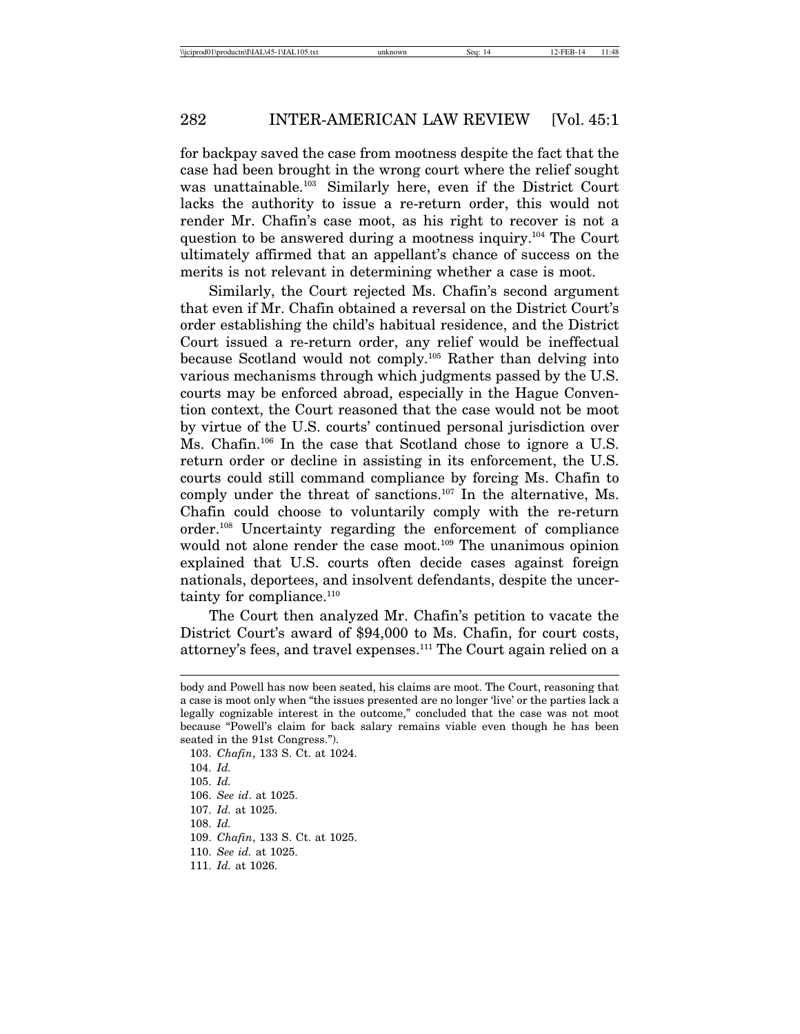for backpay saved the case from mootness despite the fact that the case had been brought in the wrong court where the relief sought was unattainable.103 Similarly here, even if the District Court lacks the authority to issue a re-return order, this would not render Mr. Chafin's case moot, as his right to recover is not a question to be answered during a mootness inquiry.104 The Court ultimately affirmed that an appellant's chance of success on the merits is not relevant in determining whether a case is moot.

Similarly, the Court rejected Ms. Chafin's second argument that even if Mr. Chafin obtained a reversal on the District Court's order establishing the child's habitual residence, and the District Court issued a re-return order, any relief would be ineffectual because Scotland would not comply.105 Rather than delving into various mechanisms through which judgments passed by the U.S. courts may be enforced abroad, especially in the Hague Convention context, the Court reasoned that the case would not be moot by virtue of the U.S. courts' continued personal jurisdiction over Ms. Chafin.106 In the case that Scotland chose to ignore a U.S. return order or decline in assisting in its enforcement, the U.S. courts could still command compliance by forcing Ms. Chafin to comply under the threat of sanctions.<sup>107</sup> In the alternative, Ms. Chafin could choose to voluntarily comply with the re-return order.108 Uncertainty regarding the enforcement of compliance would not alone render the case moot.<sup>109</sup> The unanimous opinion explained that U.S. courts often decide cases against foreign nationals, deportees, and insolvent defendants, despite the uncertainty for compliance. $110$ 

The Court then analyzed Mr. Chafin's petition to vacate the District Court's award of \$94,000 to Ms. Chafin, for court costs, attorney's fees, and travel expenses.111 The Court again relied on a

103. *Chafin*, 133 S. Ct. at 1024.

body and Powell has now been seated, his claims are moot. The Court, reasoning that a case is moot only when "the issues presented are no longer 'live' or the parties lack a legally cognizable interest in the outcome," concluded that the case was not moot because "Powell's claim for back salary remains viable even though he has been seated in the 91st Congress.").

<sup>104.</sup> *Id.*

<sup>105.</sup> *Id.*

<sup>106.</sup> *See id*. at 1025.

<sup>107.</sup> *Id.* at 1025.

<sup>108.</sup> *Id.*

<sup>109.</sup> *Chafin*, 133 S. Ct. at 1025.

<sup>110.</sup> *See id.* at 1025.

<sup>111.</sup> *Id.* at 1026.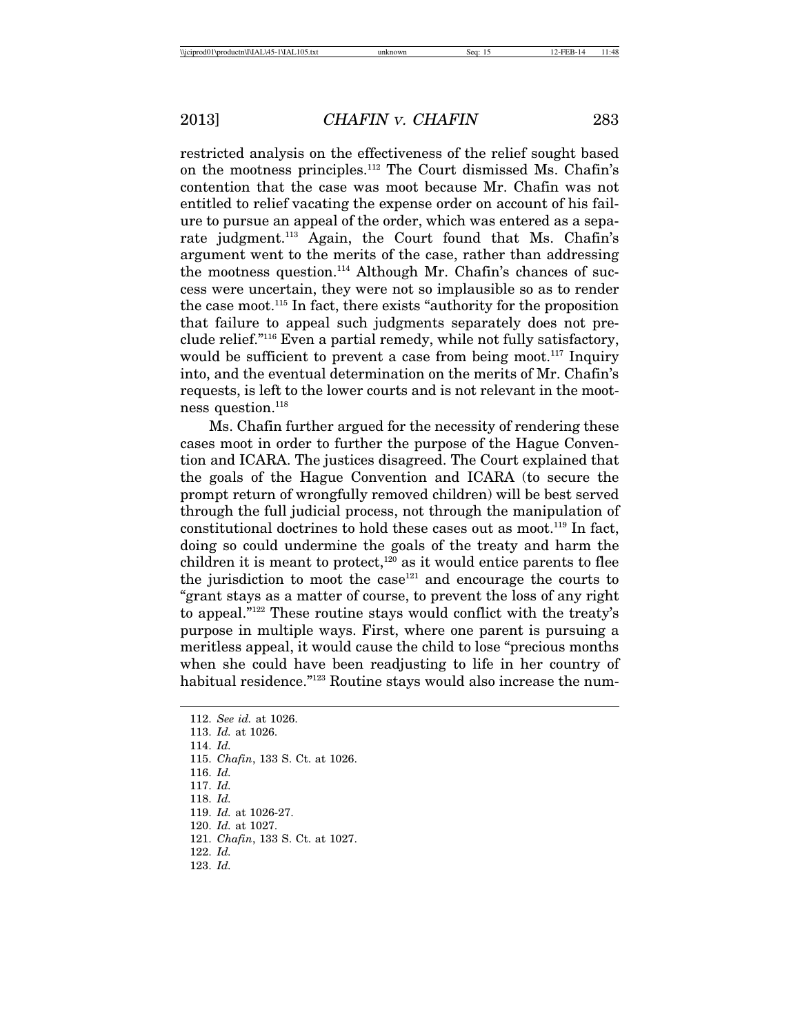restricted analysis on the effectiveness of the relief sought based on the mootness principles.112 The Court dismissed Ms. Chafin's contention that the case was moot because Mr. Chafin was not entitled to relief vacating the expense order on account of his failure to pursue an appeal of the order, which was entered as a separate judgment.113 Again, the Court found that Ms. Chafin's argument went to the merits of the case, rather than addressing the mootness question.114 Although Mr. Chafin's chances of success were uncertain, they were not so implausible so as to render the case moot.115 In fact, there exists "authority for the proposition that failure to appeal such judgments separately does not preclude relief."116 Even a partial remedy, while not fully satisfactory, would be sufficient to prevent a case from being moot.<sup>117</sup> Inquiry into, and the eventual determination on the merits of Mr. Chafin's requests, is left to the lower courts and is not relevant in the mootness question.118

Ms. Chafin further argued for the necessity of rendering these cases moot in order to further the purpose of the Hague Convention and ICARA. The justices disagreed. The Court explained that the goals of the Hague Convention and ICARA (to secure the prompt return of wrongfully removed children) will be best served through the full judicial process, not through the manipulation of constitutional doctrines to hold these cases out as moot.119 In fact, doing so could undermine the goals of the treaty and harm the children it is meant to protect, $120$  as it would entice parents to flee the jurisdiction to moot the case $121$  and encourage the courts to "grant stays as a matter of course, to prevent the loss of any right to appeal."122 These routine stays would conflict with the treaty's purpose in multiple ways. First, where one parent is pursuing a meritless appeal, it would cause the child to lose "precious months when she could have been readjusting to life in her country of habitual residence."<sup>123</sup> Routine stays would also increase the num-

- 114. *Id.*
- 115. *Chafin*, 133 S. Ct. at 1026.
- 116. *Id.*
- 117. *Id.*
- 118. *Id.*
- 119. *Id.* at 1026-27.
- 120. *Id.* at 1027.
- 121. *Chafin*, 133 S. Ct. at 1027.
- 122. *Id.*
- 123. *Id.*

<sup>112.</sup> *See id.* at 1026.

<sup>113.</sup> *Id.* at 1026.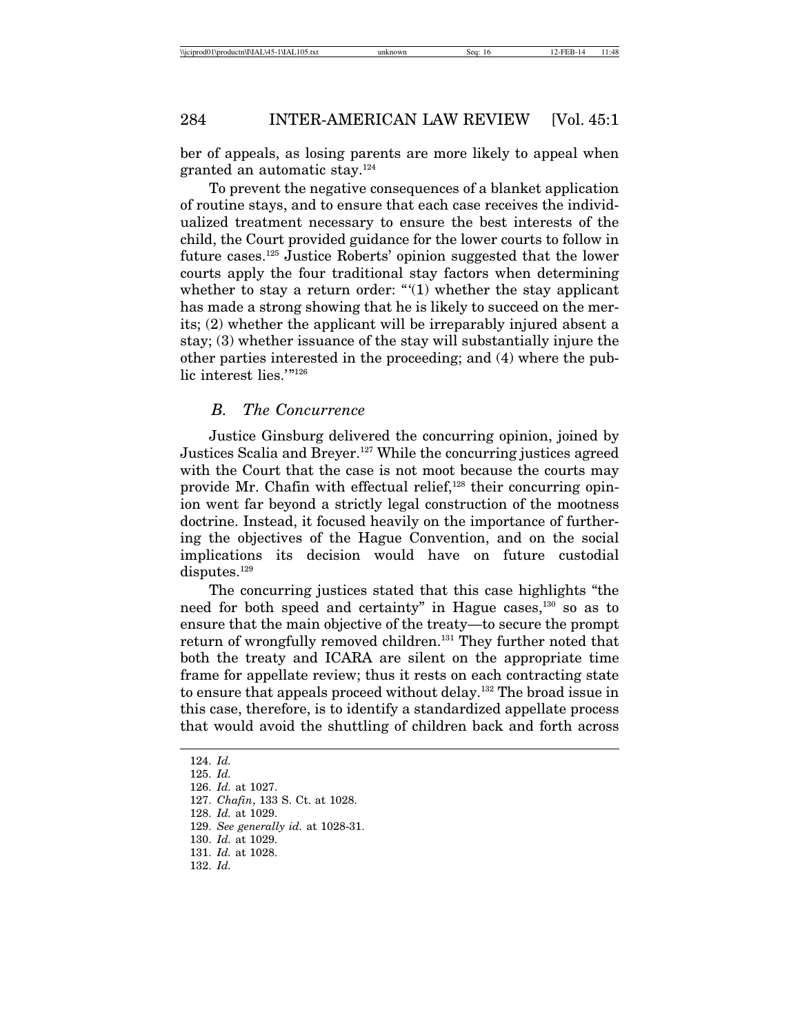ber of appeals, as losing parents are more likely to appeal when granted an automatic stay.124

To prevent the negative consequences of a blanket application of routine stays, and to ensure that each case receives the individualized treatment necessary to ensure the best interests of the child, the Court provided guidance for the lower courts to follow in future cases.125 Justice Roberts' opinion suggested that the lower courts apply the four traditional stay factors when determining whether to stay a return order: " $(1)$  whether the stay applicant has made a strong showing that he is likely to succeed on the merits; (2) whether the applicant will be irreparably injured absent a stay; (3) whether issuance of the stay will substantially injure the other parties interested in the proceeding; and (4) where the public interest lies.'"<sup>126</sup>

#### *B. The Concurrence*

Justice Ginsburg delivered the concurring opinion, joined by Justices Scalia and Breyer.127 While the concurring justices agreed with the Court that the case is not moot because the courts may provide Mr. Chafin with effectual relief, $128$  their concurring opinion went far beyond a strictly legal construction of the mootness doctrine. Instead, it focused heavily on the importance of furthering the objectives of the Hague Convention, and on the social implications its decision would have on future custodial disputes.<sup>129</sup>

The concurring justices stated that this case highlights "the need for both speed and certainty" in Hague cases,<sup>130</sup> so as to ensure that the main objective of the treaty—to secure the prompt return of wrongfully removed children.<sup>131</sup> They further noted that both the treaty and ICARA are silent on the appropriate time frame for appellate review; thus it rests on each contracting state to ensure that appeals proceed without delay.132 The broad issue in this case, therefore, is to identify a standardized appellate process that would avoid the shuttling of children back and forth across

<sup>124.</sup> *Id.*

<sup>125.</sup> *Id.*

<sup>126.</sup> *Id.* at 1027.

<sup>127.</sup> *Chafin*, 133 S. Ct. at 1028.

<sup>128.</sup> *Id.* at 1029.

<sup>129.</sup> *See generally id.* at 1028-31.

<sup>130.</sup> *Id.* at 1029.

<sup>131.</sup> *Id.* at 1028.

<sup>132.</sup> *Id.*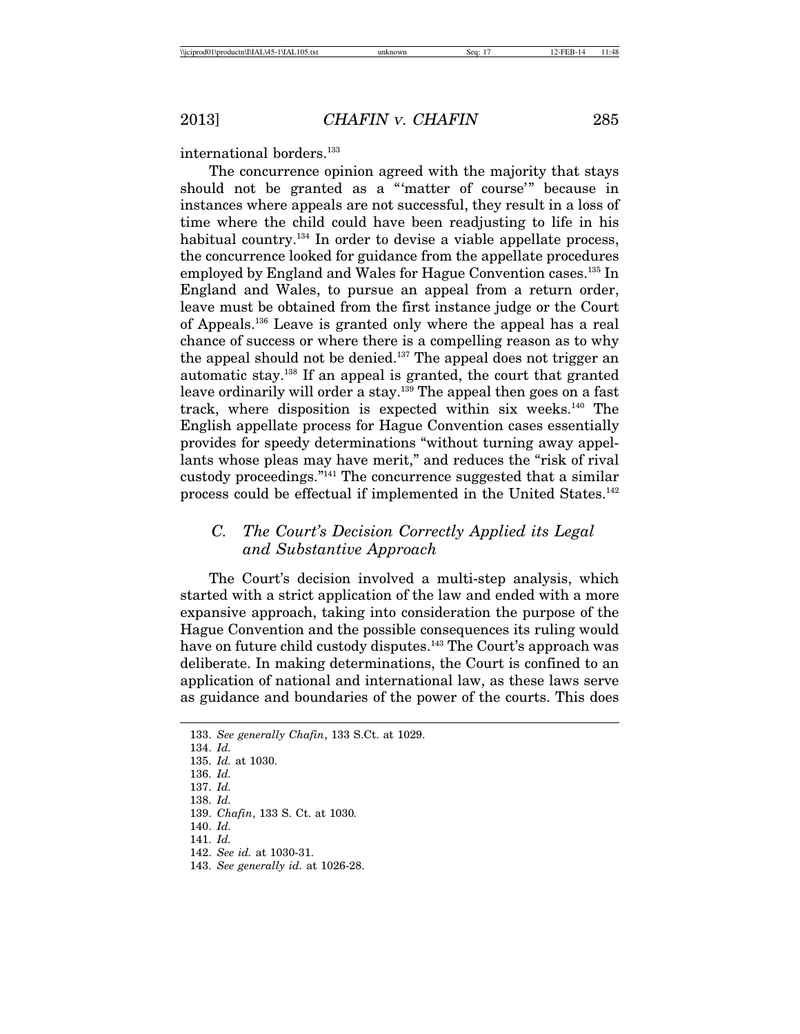international borders.<sup>133</sup>

The concurrence opinion agreed with the majority that stays should not be granted as a "'matter of course'" because in instances where appeals are not successful, they result in a loss of time where the child could have been readjusting to life in his habitual country.<sup>134</sup> In order to devise a viable appellate process, the concurrence looked for guidance from the appellate procedures employed by England and Wales for Hague Convention cases.<sup>135</sup> In England and Wales, to pursue an appeal from a return order, leave must be obtained from the first instance judge or the Court of Appeals.136 Leave is granted only where the appeal has a real chance of success or where there is a compelling reason as to why the appeal should not be denied.137 The appeal does not trigger an automatic stay.138 If an appeal is granted, the court that granted leave ordinarily will order a stay.<sup>139</sup> The appeal then goes on a fast track, where disposition is expected within six weeks.140 The English appellate process for Hague Convention cases essentially provides for speedy determinations "without turning away appellants whose pleas may have merit," and reduces the "risk of rival custody proceedings."141 The concurrence suggested that a similar process could be effectual if implemented in the United States.142

## *C. The Court's Decision Correctly Applied its Legal and Substantive Approach*

The Court's decision involved a multi-step analysis, which started with a strict application of the law and ended with a more expansive approach, taking into consideration the purpose of the Hague Convention and the possible consequences its ruling would have on future child custody disputes.<sup>143</sup> The Court's approach was deliberate. In making determinations, the Court is confined to an application of national and international law, as these laws serve as guidance and boundaries of the power of the courts. This does

<sup>133.</sup> *See generally Chafin*, 133 S.Ct. at 1029.

<sup>134.</sup> *Id.*

<sup>135.</sup> *Id.* at 1030.

<sup>136.</sup> *Id.*

<sup>137.</sup> *Id.*

<sup>138.</sup> *Id.*

<sup>139.</sup> *Chafin*, 133 S. Ct. at 1030*.*

<sup>140.</sup> *Id.*

<sup>141.</sup> *Id.*

<sup>142.</sup> *See id.* at 1030-31.

<sup>143.</sup> *See generally id.* at 1026-28.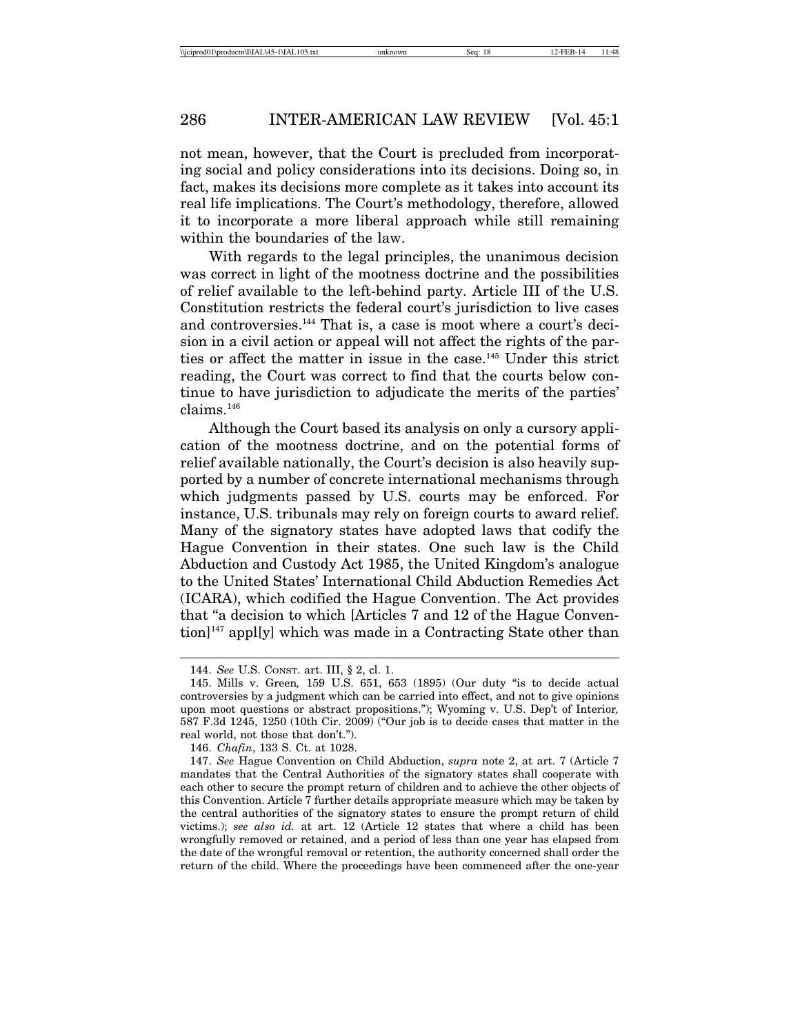not mean, however, that the Court is precluded from incorporating social and policy considerations into its decisions. Doing so, in fact, makes its decisions more complete as it takes into account its real life implications. The Court's methodology, therefore, allowed it to incorporate a more liberal approach while still remaining within the boundaries of the law.

With regards to the legal principles, the unanimous decision was correct in light of the mootness doctrine and the possibilities of relief available to the left-behind party. Article III of the U.S. Constitution restricts the federal court's jurisdiction to live cases and controversies.<sup>144</sup> That is, a case is moot where a court's decision in a civil action or appeal will not affect the rights of the parties or affect the matter in issue in the case.<sup>145</sup> Under this strict reading, the Court was correct to find that the courts below continue to have jurisdiction to adjudicate the merits of the parties' claims.146

Although the Court based its analysis on only a cursory application of the mootness doctrine, and on the potential forms of relief available nationally, the Court's decision is also heavily supported by a number of concrete international mechanisms through which judgments passed by U.S. courts may be enforced. For instance, U.S. tribunals may rely on foreign courts to award relief. Many of the signatory states have adopted laws that codify the Hague Convention in their states. One such law is the Child Abduction and Custody Act 1985, the United Kingdom's analogue to the United States' International Child Abduction Remedies Act (ICARA), which codified the Hague Convention. The Act provides that "a decision to which [Articles 7 and 12 of the Hague Convention]<sup>147</sup> appl[y] which was made in a Contracting State other than

<sup>144.</sup> *See* U.S. CONST. art. III, § 2, cl. 1.

<sup>145.</sup> Mills v. Green*,* 159 U.S. 651, 653 (1895) (Our duty "is to decide actual controversies by a judgment which can be carried into effect, and not to give opinions upon moot questions or abstract propositions."); Wyoming v. U.S. Dep't of Interior*,* 587 F.3d 1245, 1250 (10th Cir. 2009) ("Our job is to decide cases that matter in the real world, not those that don't.").

<sup>146.</sup> *Chafin*, 133 S. Ct. at 1028.

<sup>147.</sup> *See* Hague Convention on Child Abduction, *supra* note 2, at art. 7 (Article 7 mandates that the Central Authorities of the signatory states shall cooperate with each other to secure the prompt return of children and to achieve the other objects of this Convention. Article 7 further details appropriate measure which may be taken by the central authorities of the signatory states to ensure the prompt return of child victims.); *see also id.* at art. 12 (Article 12 states that where a child has been wrongfully removed or retained, and a period of less than one year has elapsed from the date of the wrongful removal or retention, the authority concerned shall order the return of the child. Where the proceedings have been commenced after the one-year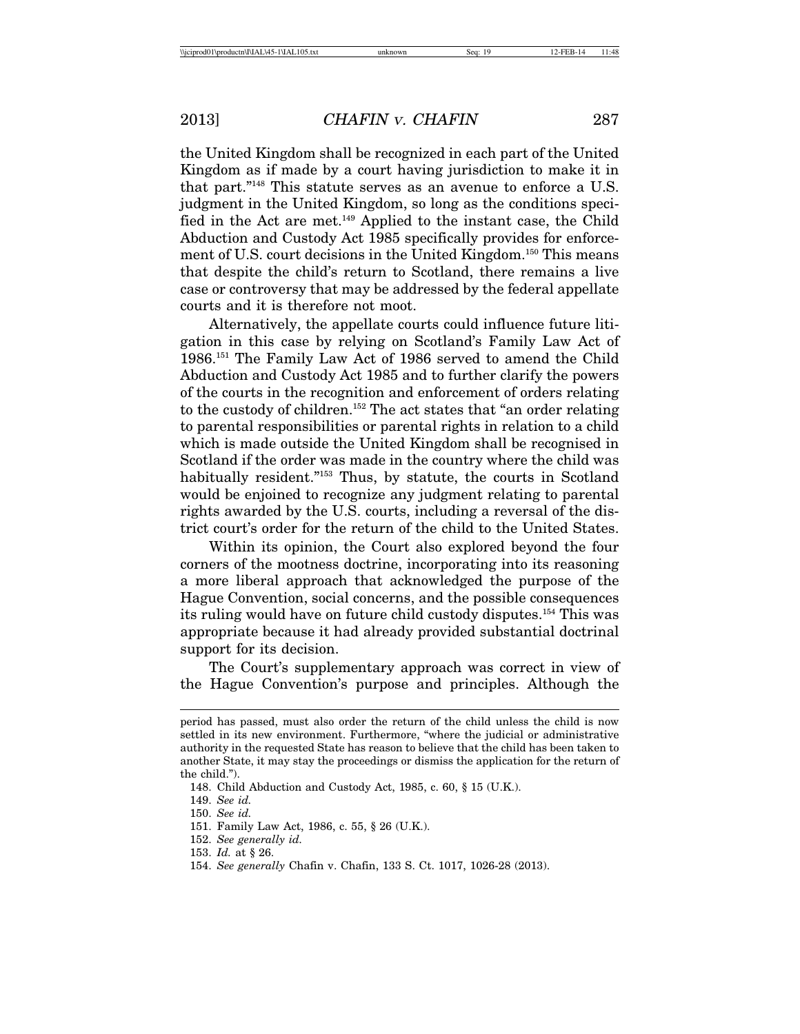the United Kingdom shall be recognized in each part of the United Kingdom as if made by a court having jurisdiction to make it in that part."148 This statute serves as an avenue to enforce a U.S. judgment in the United Kingdom, so long as the conditions specified in the Act are met.149 Applied to the instant case, the Child Abduction and Custody Act 1985 specifically provides for enforcement of U.S. court decisions in the United Kingdom.150 This means that despite the child's return to Scotland, there remains a live case or controversy that may be addressed by the federal appellate courts and it is therefore not moot.

Alternatively, the appellate courts could influence future litigation in this case by relying on Scotland's Family Law Act of 1986.151 The Family Law Act of 1986 served to amend the Child Abduction and Custody Act 1985 and to further clarify the powers of the courts in the recognition and enforcement of orders relating to the custody of children.152 The act states that "an order relating to parental responsibilities or parental rights in relation to a child which is made outside the United Kingdom shall be recognised in Scotland if the order was made in the country where the child was habitually resident."<sup>153</sup> Thus, by statute, the courts in Scotland would be enjoined to recognize any judgment relating to parental rights awarded by the U.S. courts, including a reversal of the district court's order for the return of the child to the United States.

Within its opinion, the Court also explored beyond the four corners of the mootness doctrine, incorporating into its reasoning a more liberal approach that acknowledged the purpose of the Hague Convention, social concerns, and the possible consequences its ruling would have on future child custody disputes.154 This was appropriate because it had already provided substantial doctrinal support for its decision.

The Court's supplementary approach was correct in view of the Hague Convention's purpose and principles. Although the

154. *See generally* Chafin v. Chafin, 133 S. Ct. 1017, 1026-28 (2013).

period has passed, must also order the return of the child unless the child is now settled in its new environment. Furthermore, "where the judicial or administrative authority in the requested State has reason to believe that the child has been taken to another State, it may stay the proceedings or dismiss the application for the return of the child.").

<sup>148.</sup> Child Abduction and Custody Act, 1985, c. 60, § 15 (U.K.).

<sup>149.</sup> *See id.*

<sup>150.</sup> *See id.*

<sup>151.</sup> Family Law Act, 1986, c. 55, § 26 (U.K.).

<sup>152.</sup> *See generally id.*

<sup>153.</sup> *Id.* at § 26.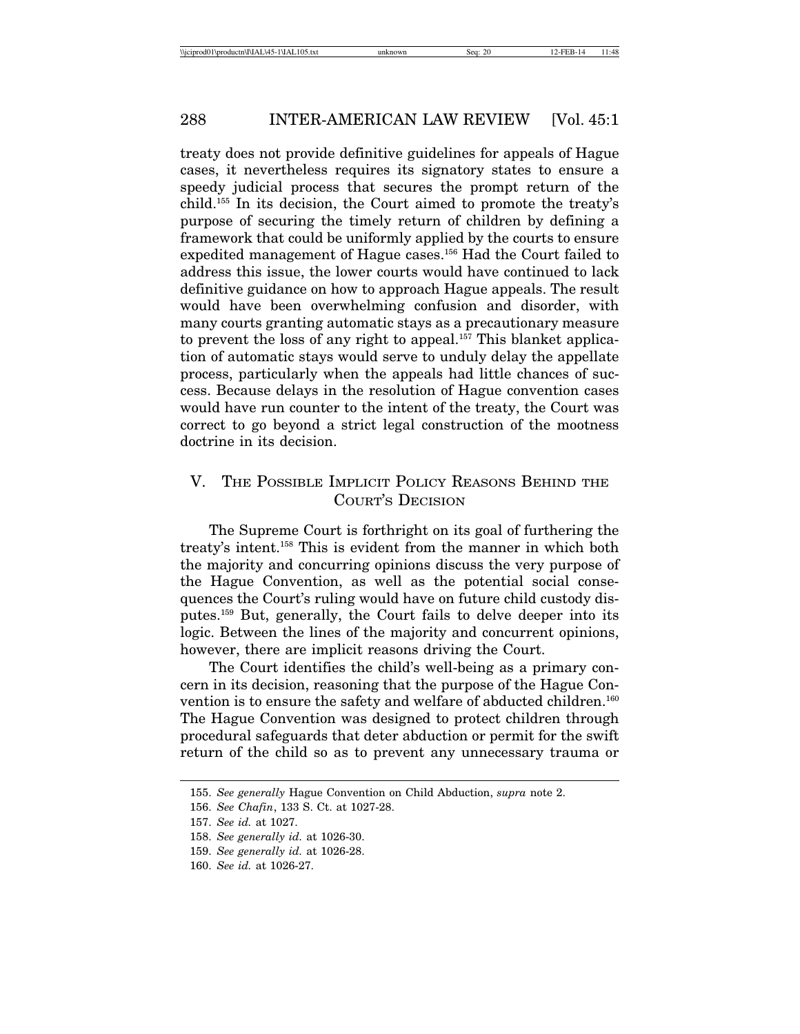treaty does not provide definitive guidelines for appeals of Hague cases, it nevertheless requires its signatory states to ensure a speedy judicial process that secures the prompt return of the child.155 In its decision, the Court aimed to promote the treaty's purpose of securing the timely return of children by defining a framework that could be uniformly applied by the courts to ensure expedited management of Hague cases.<sup>156</sup> Had the Court failed to address this issue, the lower courts would have continued to lack definitive guidance on how to approach Hague appeals. The result would have been overwhelming confusion and disorder, with many courts granting automatic stays as a precautionary measure to prevent the loss of any right to appeal.<sup>157</sup> This blanket application of automatic stays would serve to unduly delay the appellate process, particularly when the appeals had little chances of success. Because delays in the resolution of Hague convention cases would have run counter to the intent of the treaty, the Court was correct to go beyond a strict legal construction of the mootness doctrine in its decision.

## V. THE POSSIBLE IMPLICIT POLICY REASONS BEHIND THE COURT'S DECISION

The Supreme Court is forthright on its goal of furthering the treaty's intent.158 This is evident from the manner in which both the majority and concurring opinions discuss the very purpose of the Hague Convention, as well as the potential social consequences the Court's ruling would have on future child custody disputes.159 But, generally, the Court fails to delve deeper into its logic. Between the lines of the majority and concurrent opinions, however, there are implicit reasons driving the Court.

The Court identifies the child's well-being as a primary concern in its decision, reasoning that the purpose of the Hague Convention is to ensure the safety and welfare of abducted children.<sup>160</sup> The Hague Convention was designed to protect children through procedural safeguards that deter abduction or permit for the swift return of the child so as to prevent any unnecessary trauma or

<sup>155.</sup> *See generally* Hague Convention on Child Abduction, *supra* note 2.

<sup>156.</sup> *See Chafin*, 133 S. Ct. at 1027-28.

<sup>157.</sup> *See id.* at 1027.

<sup>158.</sup> *See generally id.* at 1026-30.

<sup>159.</sup> *See generally id.* at 1026-28.

<sup>160.</sup> *See id.* at 1026-27.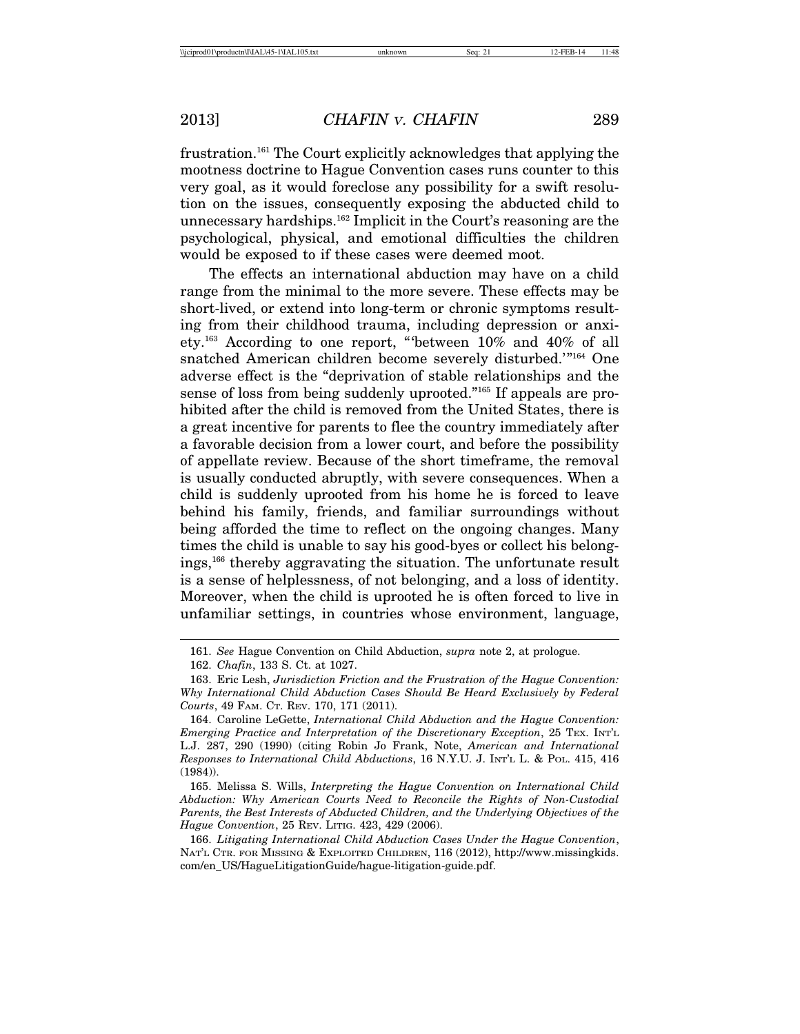frustration.161 The Court explicitly acknowledges that applying the mootness doctrine to Hague Convention cases runs counter to this very goal, as it would foreclose any possibility for a swift resolution on the issues, consequently exposing the abducted child to unnecessary hardships.162 Implicit in the Court's reasoning are the psychological, physical, and emotional difficulties the children would be exposed to if these cases were deemed moot.

The effects an international abduction may have on a child range from the minimal to the more severe. These effects may be short-lived, or extend into long-term or chronic symptoms resulting from their childhood trauma, including depression or anxiety.163 According to one report, "'between 10% and 40% of all snatched American children become severely disturbed.'"164 One adverse effect is the "deprivation of stable relationships and the sense of loss from being suddenly uprooted."165 If appeals are prohibited after the child is removed from the United States, there is a great incentive for parents to flee the country immediately after a favorable decision from a lower court, and before the possibility of appellate review. Because of the short timeframe, the removal is usually conducted abruptly, with severe consequences. When a child is suddenly uprooted from his home he is forced to leave behind his family, friends, and familiar surroundings without being afforded the time to reflect on the ongoing changes. Many times the child is unable to say his good-byes or collect his belongings,166 thereby aggravating the situation. The unfortunate result is a sense of helplessness, of not belonging, and a loss of identity. Moreover, when the child is uprooted he is often forced to live in unfamiliar settings, in countries whose environment, language,

<sup>161.</sup> *See* Hague Convention on Child Abduction, *supra* note 2, at prologue.

<sup>162.</sup> *Chafin*, 133 S. Ct. at 1027.

<sup>163.</sup> Eric Lesh, *Jurisdiction Friction and the Frustration of the Hague Convention: Why International Child Abduction Cases Should Be Heard Exclusively by Federal Courts*, 49 FAM. CT. REV. 170, 171 (2011).

<sup>164.</sup> Caroline LeGette, *International Child Abduction and the Hague Convention: Emerging Practice and Interpretation of the Discretionary Exception*, 25 TEX. INT'L L.J. 287, 290 (1990) (citing Robin Jo Frank, Note, *American and International Responses to International Child Abductions*, 16 N.Y.U. J. INT'L L. & POL. 415, 416 (1984)).

<sup>165.</sup> Melissa S. Wills, *Interpreting the Hague Convention on International Child Abduction: Why American Courts Need to Reconcile the Rights of Non-Custodial Parents, the Best Interests of Abducted Children, and the Underlying Objectives of the Hague Convention*, 25 REV. LITIG. 423, 429 (2006).

<sup>166.</sup> *Litigating International Child Abduction Cases Under the Hague Convention*, NAT'L CTR. FOR MISSING & EXPLOITED CHILDREN, 116 (2012), http://www.missingkids. com/en\_US/HagueLitigationGuide/hague-litigation-guide.pdf.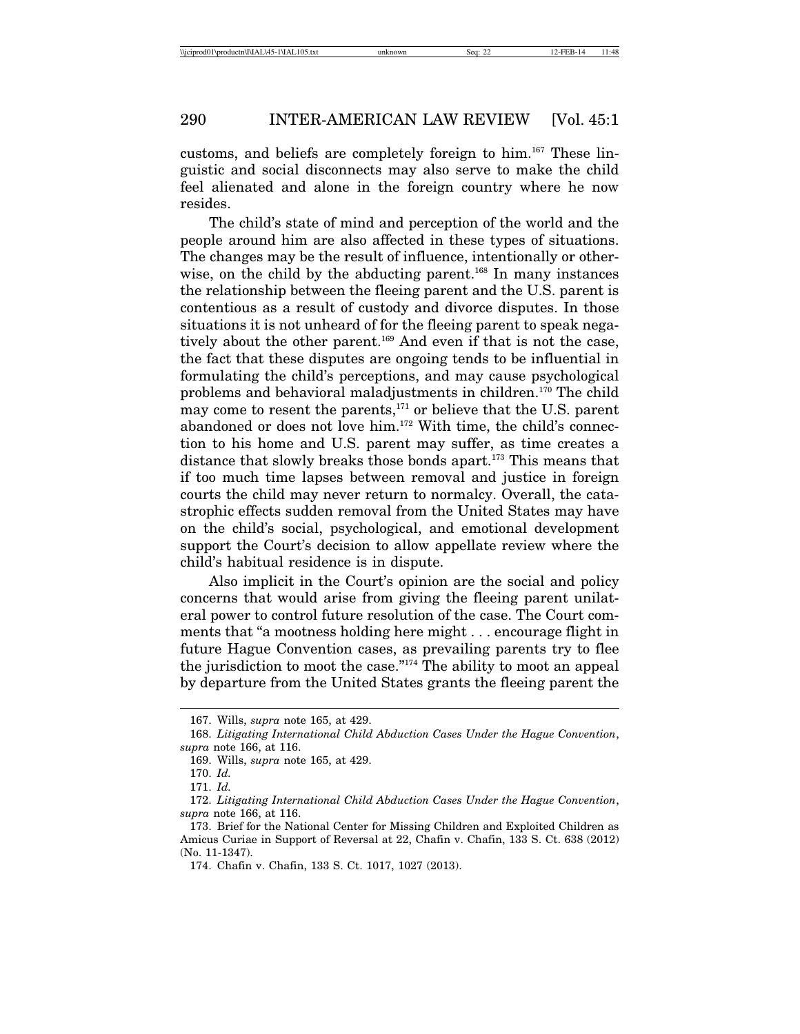customs, and beliefs are completely foreign to him.167 These linguistic and social disconnects may also serve to make the child feel alienated and alone in the foreign country where he now resides.

The child's state of mind and perception of the world and the people around him are also affected in these types of situations. The changes may be the result of influence, intentionally or otherwise, on the child by the abducting parent.<sup>168</sup> In many instances the relationship between the fleeing parent and the U.S. parent is contentious as a result of custody and divorce disputes. In those situations it is not unheard of for the fleeing parent to speak negatively about the other parent.<sup>169</sup> And even if that is not the case, the fact that these disputes are ongoing tends to be influential in formulating the child's perceptions, and may cause psychological problems and behavioral maladjustments in children.170 The child may come to resent the parents, $171$  or believe that the U.S. parent abandoned or does not love him.172 With time, the child's connection to his home and U.S. parent may suffer, as time creates a distance that slowly breaks those bonds apart.<sup>173</sup> This means that if too much time lapses between removal and justice in foreign courts the child may never return to normalcy. Overall, the catastrophic effects sudden removal from the United States may have on the child's social, psychological, and emotional development support the Court's decision to allow appellate review where the child's habitual residence is in dispute.

Also implicit in the Court's opinion are the social and policy concerns that would arise from giving the fleeing parent unilateral power to control future resolution of the case. The Court comments that "a mootness holding here might . . . encourage flight in future Hague Convention cases, as prevailing parents try to flee the jurisdiction to moot the case."174 The ability to moot an appeal by departure from the United States grants the fleeing parent the

<sup>167.</sup> Wills, *supra* note 165, at 429.

<sup>168.</sup> *Litigating International Child Abduction Cases Under the Hague Convention*, *supra* note 166, at 116.

<sup>169.</sup> Wills, *supra* note 165, at 429.

<sup>170.</sup> *Id.*

<sup>171.</sup> *Id.*

<sup>172.</sup> *Litigating International Child Abduction Cases Under the Hague Convention*, *supra* note 166, at 116.

<sup>173.</sup> Brief for the National Center for Missing Children and Exploited Children as Amicus Curiae in Support of Reversal at 22, Chafin v. Chafin, 133 S. Ct. 638 (2012)  $(N_0$  11-1347).

<sup>174.</sup> Chafin v. Chafin, 133 S. Ct. 1017, 1027 (2013).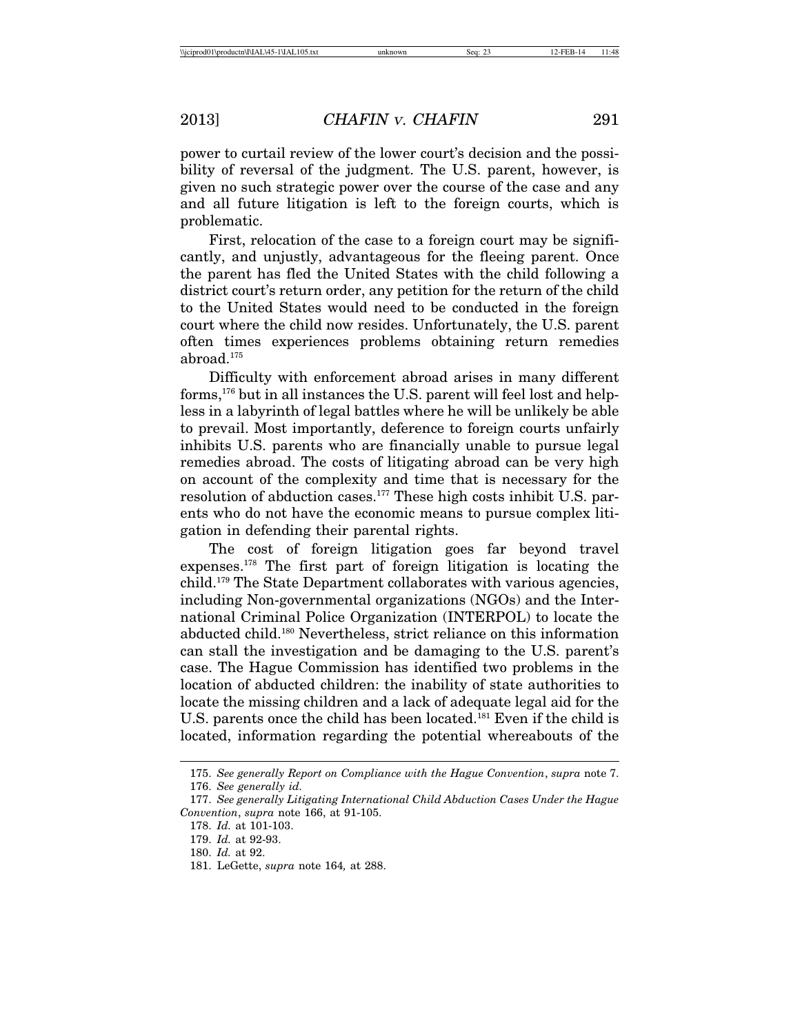power to curtail review of the lower court's decision and the possibility of reversal of the judgment. The U.S. parent, however, is given no such strategic power over the course of the case and any and all future litigation is left to the foreign courts, which is problematic.

First, relocation of the case to a foreign court may be significantly, and unjustly, advantageous for the fleeing parent. Once the parent has fled the United States with the child following a district court's return order, any petition for the return of the child to the United States would need to be conducted in the foreign court where the child now resides. Unfortunately, the U.S. parent often times experiences problems obtaining return remedies abroad.175

Difficulty with enforcement abroad arises in many different forms,176 but in all instances the U.S. parent will feel lost and helpless in a labyrinth of legal battles where he will be unlikely be able to prevail. Most importantly, deference to foreign courts unfairly inhibits U.S. parents who are financially unable to pursue legal remedies abroad. The costs of litigating abroad can be very high on account of the complexity and time that is necessary for the resolution of abduction cases.177 These high costs inhibit U.S. parents who do not have the economic means to pursue complex litigation in defending their parental rights.

The cost of foreign litigation goes far beyond travel expenses.178 The first part of foreign litigation is locating the child.179 The State Department collaborates with various agencies, including Non-governmental organizations (NGOs) and the International Criminal Police Organization (INTERPOL) to locate the abducted child.180 Nevertheless, strict reliance on this information can stall the investigation and be damaging to the U.S. parent's case. The Hague Commission has identified two problems in the location of abducted children: the inability of state authorities to locate the missing children and a lack of adequate legal aid for the U.S. parents once the child has been located.<sup>181</sup> Even if the child is located, information regarding the potential whereabouts of the

<sup>175.</sup> *See generally Report on Compliance with the Hague Convention*, *supra* note 7.

<sup>176.</sup> *See generally id.*

<sup>177.</sup> *See generally Litigating International Child Abduction Cases Under the Hague Convention*, *supra* note 166, at 91-105.

<sup>178.</sup> *Id.* at 101-103.

<sup>179.</sup> *Id.* at 92-93.

<sup>180.</sup> *Id.* at 92.

<sup>181.</sup> LeGette, *supra* note 164*,* at 288.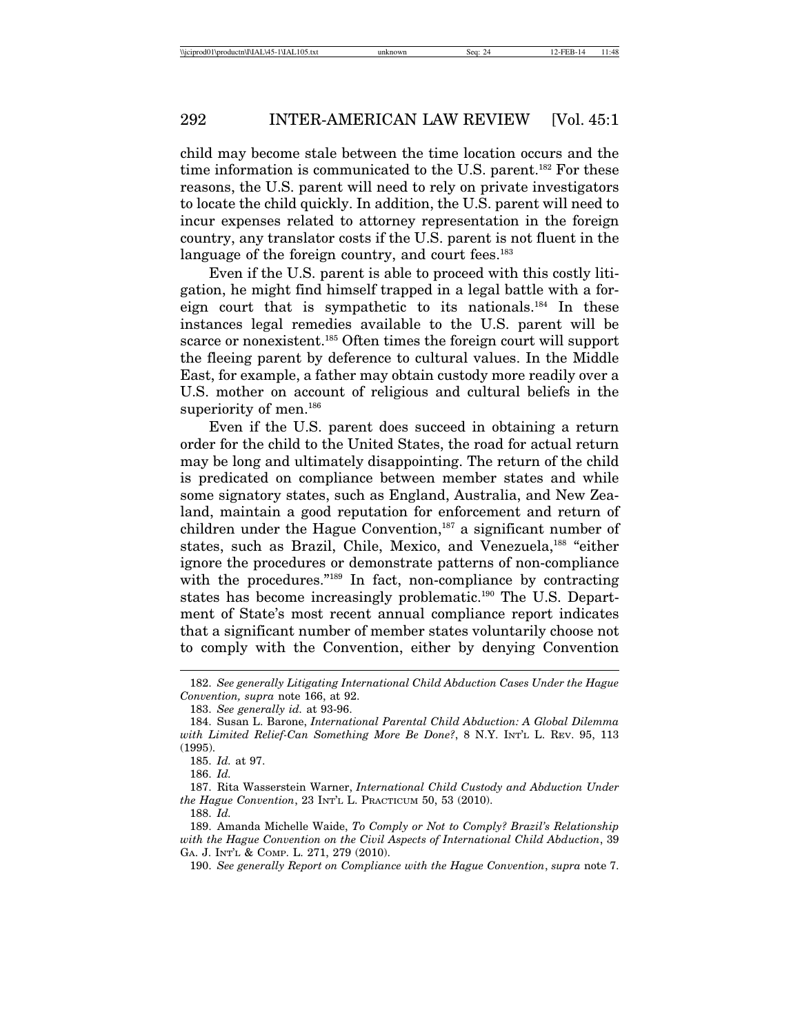child may become stale between the time location occurs and the time information is communicated to the U.S. parent.<sup>182</sup> For these reasons, the U.S. parent will need to rely on private investigators to locate the child quickly. In addition, the U.S. parent will need to incur expenses related to attorney representation in the foreign country, any translator costs if the U.S. parent is not fluent in the language of the foreign country, and court fees.<sup>183</sup>

Even if the U.S. parent is able to proceed with this costly litigation, he might find himself trapped in a legal battle with a foreign court that is sympathetic to its nationals.184 In these instances legal remedies available to the U.S. parent will be scarce or nonexistent.<sup>185</sup> Often times the foreign court will support the fleeing parent by deference to cultural values. In the Middle East, for example, a father may obtain custody more readily over a U.S. mother on account of religious and cultural beliefs in the superiority of men.<sup>186</sup>

Even if the U.S. parent does succeed in obtaining a return order for the child to the United States, the road for actual return may be long and ultimately disappointing. The return of the child is predicated on compliance between member states and while some signatory states, such as England, Australia, and New Zealand, maintain a good reputation for enforcement and return of children under the Hague Convention, $187$  a significant number of states, such as Brazil, Chile, Mexico, and Venezuela,<sup>188</sup> "either ignore the procedures or demonstrate patterns of non-compliance with the procedures."<sup>189</sup> In fact, non-compliance by contracting states has become increasingly problematic.190 The U.S. Department of State's most recent annual compliance report indicates that a significant number of member states voluntarily choose not to comply with the Convention, either by denying Convention

188. *Id.*

<sup>182.</sup> *See generally Litigating International Child Abduction Cases Under the Hague Convention, supra* note 166, at 92.

<sup>183.</sup> *See generally id.* at 93-96.

<sup>184.</sup> Susan L. Barone, *International Parental Child Abduction: A Global Dilemma with Limited Relief-Can Something More Be Done?*, 8 N.Y. INT'L L. REV. 95, 113 (1995).

<sup>185.</sup> *Id.* at 97.

<sup>186.</sup> *Id.*

<sup>187.</sup> Rita Wasserstein Warner, *International Child Custody and Abduction Under the Hague Convention*, 23 INT'L L. PRACTICUM 50, 53 (2010).

<sup>189.</sup> Amanda Michelle Waide, *To Comply or Not to Comply? Brazil's Relationship with the Hague Convention on the Civil Aspects of International Child Abduction*, 39 GA. J. INT'L & COMP. L. 271, 279 (2010).

<sup>190.</sup> *See generally Report on Compliance with the Hague Convention*, *supra* note 7.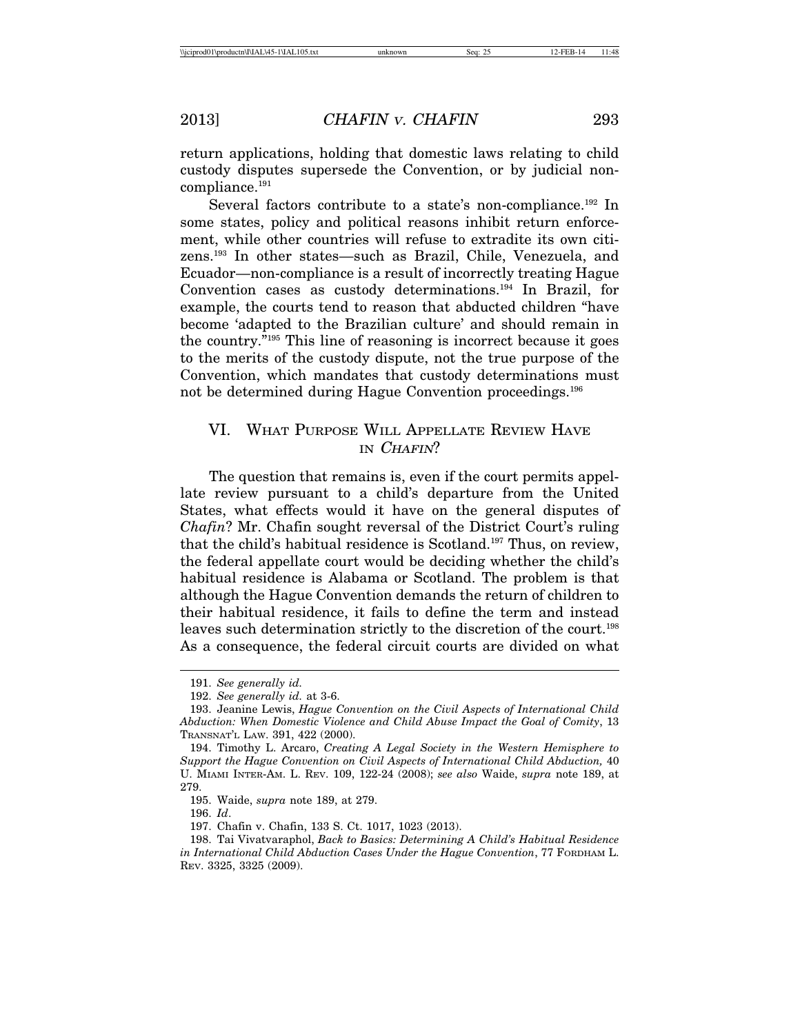return applications, holding that domestic laws relating to child custody disputes supersede the Convention, or by judicial noncompliance.191

Several factors contribute to a state's non-compliance.<sup>192</sup> In some states, policy and political reasons inhibit return enforcement, while other countries will refuse to extradite its own citizens.193 In other states—such as Brazil, Chile, Venezuela, and Ecuador—non-compliance is a result of incorrectly treating Hague Convention cases as custody determinations.194 In Brazil, for example, the courts tend to reason that abducted children "have become 'adapted to the Brazilian culture' and should remain in the country."195 This line of reasoning is incorrect because it goes to the merits of the custody dispute, not the true purpose of the Convention, which mandates that custody determinations must not be determined during Hague Convention proceedings.<sup>196</sup>

## VI. WHAT PURPOSE WILL APPELLATE REVIEW HAVE IN CHAFIN?

The question that remains is, even if the court permits appellate review pursuant to a child's departure from the United States, what effects would it have on the general disputes of *Chafin*? Mr. Chafin sought reversal of the District Court's ruling that the child's habitual residence is Scotland.197 Thus, on review, the federal appellate court would be deciding whether the child's habitual residence is Alabama or Scotland. The problem is that although the Hague Convention demands the return of children to their habitual residence, it fails to define the term and instead leaves such determination strictly to the discretion of the court.<sup>198</sup> As a consequence, the federal circuit courts are divided on what

195. Waide, *supra* note 189, at 279.

196. *Id*.

197. Chafin v. Chafin, 133 S. Ct. 1017, 1023 (2013).

<sup>191.</sup> *See generally id.*

<sup>192.</sup> *See generally id.* at 3-6.

<sup>193.</sup> Jeanine Lewis, *Hague Convention on the Civil Aspects of International Child Abduction: When Domestic Violence and Child Abuse Impact the Goal of Comity*, 13 TRANSNAT'L LAW. 391, 422 (2000).

<sup>194.</sup> Timothy L. Arcaro, *Creating A Legal Society in the Western Hemisphere to Support the Hague Convention on Civil Aspects of International Child Abduction,* 40 U. MIAMI INTER-AM. L. REV. 109, 122-24 (2008); *see also* Waide, *supra* note 189, at 279.

<sup>198.</sup> Tai Vivatvaraphol, *Back to Basics: Determining A Child's Habitual Residence in International Child Abduction Cases Under the Hague Convention*, 77 FORDHAM L. REV. 3325, 3325 (2009).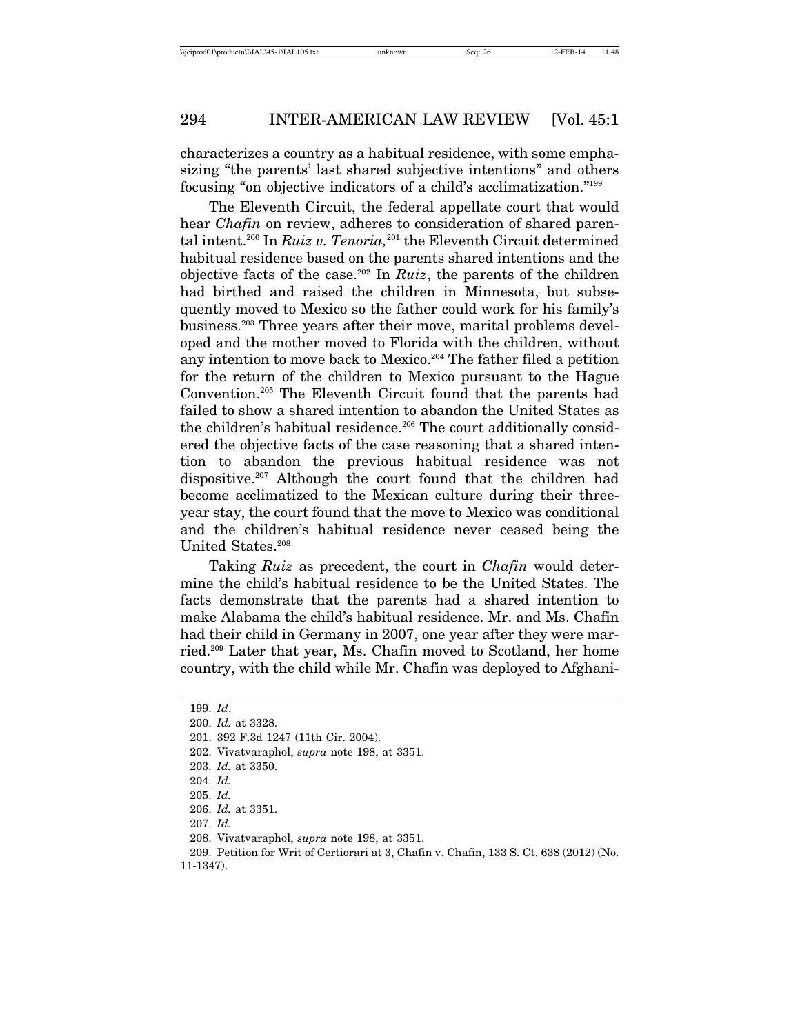characterizes a country as a habitual residence, with some emphasizing "the parents' last shared subjective intentions" and others focusing "on objective indicators of a child's acclimatization."199

The Eleventh Circuit, the federal appellate court that would hear *Chafin* on review, adheres to consideration of shared parental intent.<sup>200</sup> In *Ruiz v. Tenoria*,<sup>201</sup> the Eleventh Circuit determined habitual residence based on the parents shared intentions and the objective facts of the case.202 In *Ruiz*, the parents of the children had birthed and raised the children in Minnesota, but subsequently moved to Mexico so the father could work for his family's business.203 Three years after their move, marital problems developed and the mother moved to Florida with the children, without any intention to move back to Mexico.<sup>204</sup> The father filed a petition for the return of the children to Mexico pursuant to the Hague Convention.205 The Eleventh Circuit found that the parents had failed to show a shared intention to abandon the United States as the children's habitual residence.<sup>206</sup> The court additionally considered the objective facts of the case reasoning that a shared intention to abandon the previous habitual residence was not dispositive.207 Although the court found that the children had become acclimatized to the Mexican culture during their threeyear stay, the court found that the move to Mexico was conditional and the children's habitual residence never ceased being the United States.208

Taking *Ruiz* as precedent, the court in *Chafin* would determine the child's habitual residence to be the United States. The facts demonstrate that the parents had a shared intention to make Alabama the child's habitual residence. Mr. and Ms. Chafin had their child in Germany in 2007, one year after they were married.209 Later that year, Ms. Chafin moved to Scotland, her home country, with the child while Mr. Chafin was deployed to Afghani-

<sup>199.</sup> *Id*.

<sup>200.</sup> *Id.* at 3328.

<sup>201. 392</sup> F.3d 1247 (11th Cir. 2004).

<sup>202.</sup> Vivatvaraphol, *supra* note 198, at 3351.

<sup>203.</sup> *Id.* at 3350.

<sup>204.</sup> *Id.*

<sup>205.</sup> *Id.*

<sup>206.</sup> *Id.* at 3351.

<sup>207.</sup> *Id.*

<sup>208.</sup> Vivatvaraphol, *supra* note 198, at 3351.

<sup>209.</sup> Petition for Writ of Certiorari at 3, Chafin v. Chafin, 133 S. Ct. 638 (2012) (No. 11-1347).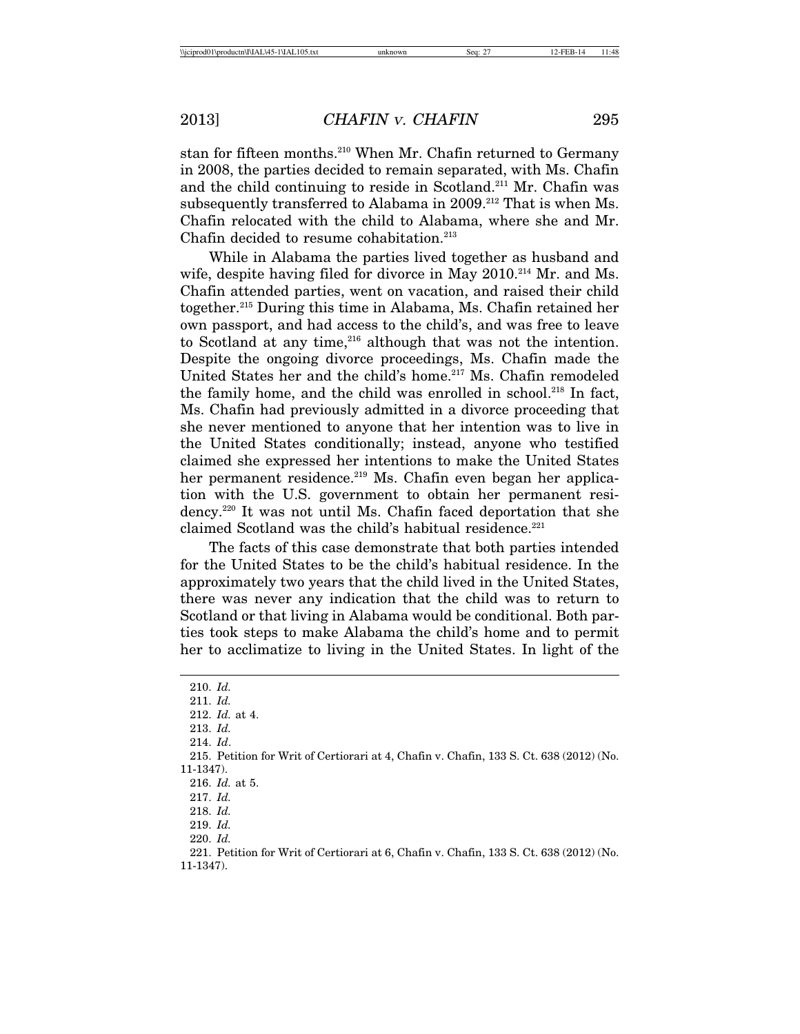stan for fifteen months.210 When Mr. Chafin returned to Germany in 2008, the parties decided to remain separated, with Ms. Chafin and the child continuing to reside in Scotland.211 Mr. Chafin was subsequently transferred to Alabama in 2009.<sup>212</sup> That is when Ms. Chafin relocated with the child to Alabama, where she and Mr. Chafin decided to resume cohabitation.<sup>213</sup>

While in Alabama the parties lived together as husband and wife, despite having filed for divorce in May 2010.<sup>214</sup> Mr. and Ms. Chafin attended parties, went on vacation, and raised their child together.215 During this time in Alabama, Ms. Chafin retained her own passport, and had access to the child's, and was free to leave to Scotland at any time,<sup>216</sup> although that was not the intention. Despite the ongoing divorce proceedings, Ms. Chafin made the United States her and the child's home.<sup>217</sup> Ms. Chafin remodeled the family home, and the child was enrolled in school.218 In fact, Ms. Chafin had previously admitted in a divorce proceeding that she never mentioned to anyone that her intention was to live in the United States conditionally; instead, anyone who testified claimed she expressed her intentions to make the United States her permanent residence.<sup>219</sup> Ms. Chafin even began her application with the U.S. government to obtain her permanent residency.220 It was not until Ms. Chafin faced deportation that she claimed Scotland was the child's habitual residence.<sup>221</sup>

The facts of this case demonstrate that both parties intended for the United States to be the child's habitual residence. In the approximately two years that the child lived in the United States, there was never any indication that the child was to return to Scotland or that living in Alabama would be conditional. Both parties took steps to make Alabama the child's home and to permit her to acclimatize to living in the United States. In light of the

220. *Id.*

<sup>210.</sup> *Id.*

<sup>211.</sup> *Id.*

<sup>212.</sup> *Id.* at 4.

<sup>213.</sup> *Id.*

<sup>214.</sup> *Id*.

<sup>215.</sup> Petition for Writ of Certiorari at 4, Chafin v. Chafin, 133 S. Ct. 638 (2012) (No. 11-1347).

<sup>216.</sup> *Id.* at 5.

<sup>217.</sup> *Id.*

<sup>218.</sup> *Id.*

<sup>219.</sup> *Id.*

<sup>221.</sup> Petition for Writ of Certiorari at 6, Chafin v. Chafin, 133 S. Ct. 638 (2012) (No. 11-1347).